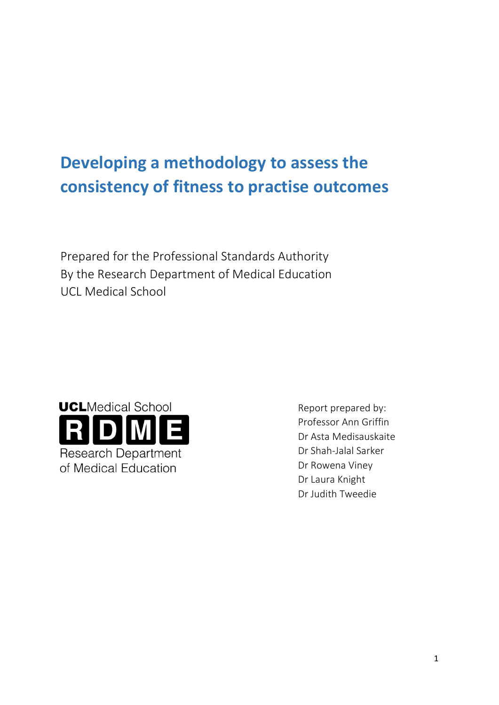# **Developing a methodology to assess the consistency of fitness to practise outcomes**

Prepared for the Professional Standards Authority By the Research Department of Medical Education UCL Medical School



Report prepared by: Professor Ann Griffin Dr Asta Medisauskaite Dr Shah-Jalal Sarker Dr Rowena Viney Dr Laura Knight Dr Judith Tweedie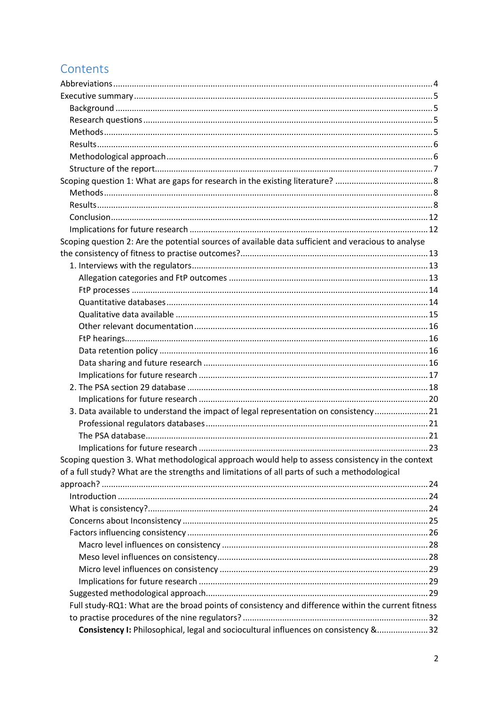# Contents

| Scoping question 2: Are the potential sources of available data sufficient and veracious to analyse |  |
|-----------------------------------------------------------------------------------------------------|--|
|                                                                                                     |  |
|                                                                                                     |  |
|                                                                                                     |  |
|                                                                                                     |  |
|                                                                                                     |  |
|                                                                                                     |  |
|                                                                                                     |  |
|                                                                                                     |  |
|                                                                                                     |  |
|                                                                                                     |  |
|                                                                                                     |  |
|                                                                                                     |  |
|                                                                                                     |  |
| 3. Data available to understand the impact of legal representation on consistency 21                |  |
|                                                                                                     |  |
|                                                                                                     |  |
|                                                                                                     |  |
| Scoping question 3. What methodological approach would help to assess consistency in the context    |  |
| of a full study? What are the strengths and limitations of all parts of such a methodological       |  |
|                                                                                                     |  |
|                                                                                                     |  |
|                                                                                                     |  |
|                                                                                                     |  |
|                                                                                                     |  |
|                                                                                                     |  |
|                                                                                                     |  |
|                                                                                                     |  |
|                                                                                                     |  |
|                                                                                                     |  |
| Full study-RQ1: What are the broad points of consistency and difference within the current fitness  |  |
|                                                                                                     |  |
| Consistency I: Philosophical, legal and sociocultural influences on consistency &32                 |  |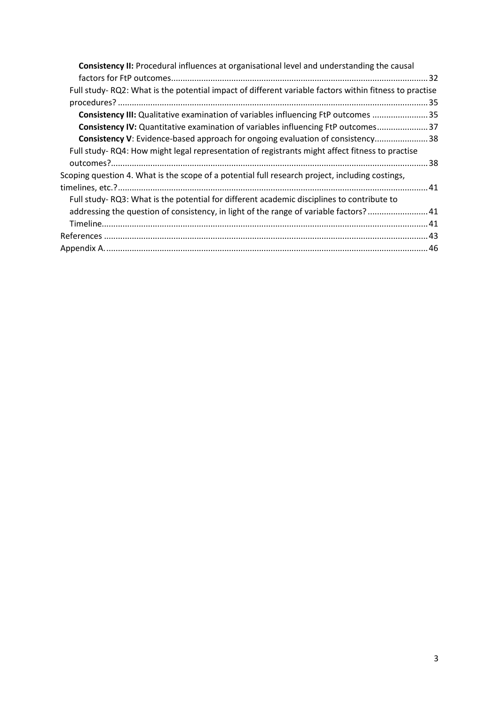| <b>Consistency II:</b> Procedural influences at organisational level and understanding the causal     |  |
|-------------------------------------------------------------------------------------------------------|--|
|                                                                                                       |  |
| Full study-RQ2: What is the potential impact of different variable factors within fitness to practise |  |
|                                                                                                       |  |
| Consistency III: Qualitative examination of variables influencing FtP outcomes 35                     |  |
| Consistency IV: Quantitative examination of variables influencing FtP outcomes 37                     |  |
| Consistency V: Evidence-based approach for ongoing evaluation of consistency 38                       |  |
| Full study-RQ4: How might legal representation of registrants might affect fitness to practise        |  |
|                                                                                                       |  |
| Scoping question 4. What is the scope of a potential full research project, including costings,       |  |
|                                                                                                       |  |
| Full study-RQ3: What is the potential for different academic disciplines to contribute to             |  |
| addressing the question of consistency, in light of the range of variable factors? 41                 |  |
|                                                                                                       |  |
|                                                                                                       |  |
|                                                                                                       |  |
|                                                                                                       |  |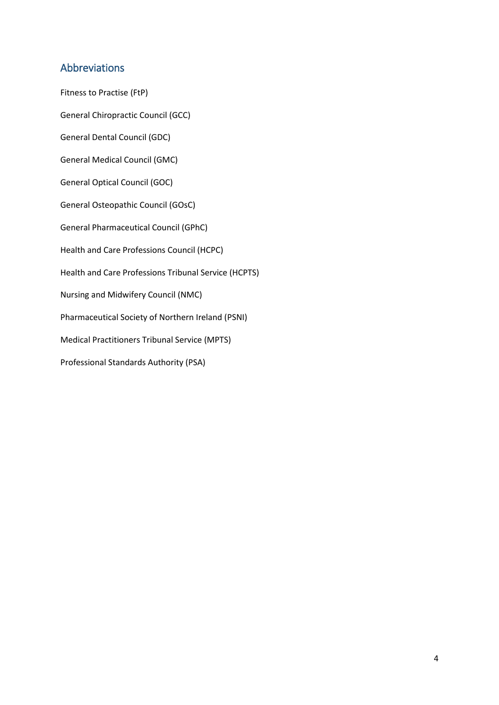# <span id="page-3-0"></span>Abbreviations

Fitness to Practise (FtP) General Chiropractic Council (GCC) General Dental Council (GDC) General Medical Council (GMC) General Optical Council (GOC) General Osteopathic Council (GOsC) General Pharmaceutical Council (GPhC) Health and Care Professions Council (HCPC) Health and Care Professions Tribunal Service (HCPTS) Nursing and Midwifery Council (NMC) Pharmaceutical Society of Northern Ireland (PSNI) Medical Practitioners Tribunal Service (MPTS) Professional Standards Authority (PSA)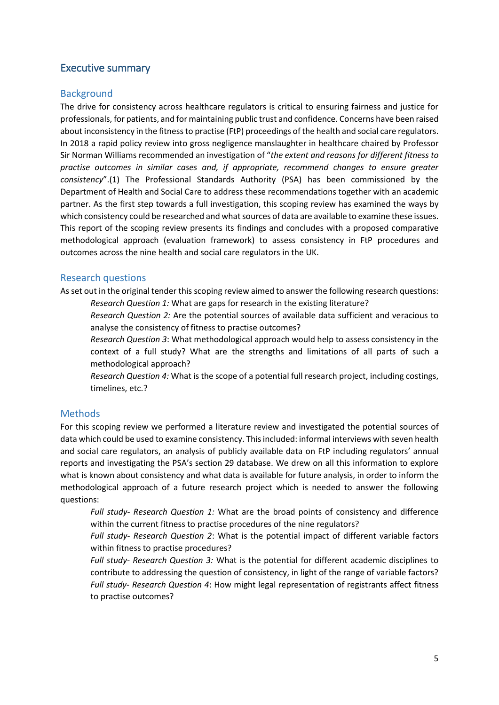# <span id="page-4-0"></span>Executive summary

# <span id="page-4-1"></span>**Background**

The drive for consistency across healthcare regulators is critical to ensuring fairness and justice for professionals, for patients, and for maintaining public trust and confidence. Concerns have been raised about inconsistency in the fitness to practise (FtP) proceedings of the health and social care regulators. In 2018 a rapid policy review into gross negligence manslaughter in healthcare chaired by Professor Sir Norman Williams recommended an investigation of "*the extent and reasons for different fitness to practise outcomes in similar cases and, if appropriate, recommend changes to ensure greater consistency*".(1) The Professional Standards Authority (PSA) has been commissioned by the Department of Health and Social Care to address these recommendations together with an academic partner. As the first step towards a full investigation, this scoping review has examined the ways by which consistency could be researched and what sources of data are available to examine these issues. This report of the scoping review presents its findings and concludes with a proposed comparative methodological approach (evaluation framework) to assess consistency in FtP procedures and outcomes across the nine health and social care regulators in the UK.

# <span id="page-4-2"></span>Research questions

As set out in the original tender this scoping review aimed to answer the following research questions:

*Research Question 1:* What are gaps for research in the existing literature?

*Research Question 2:* Are the potential sources of available data sufficient and veracious to analyse the consistency of fitness to practise outcomes?

*Research Question 3*: What methodological approach would help to assess consistency in the context of a full study? What are the strengths and limitations of all parts of such a methodological approach?

*Research Question 4:* What is the scope of a potential full research project, including costings, timelines, etc.?

# <span id="page-4-3"></span>**Methods**

For this scoping review we performed a literature review and investigated the potential sources of data which could be used to examine consistency. Thisincluded: informal interviews with seven health and social care regulators, an analysis of publicly available data on FtP including regulators' annual reports and investigating the PSA's section 29 database. We drew on all this information to explore what is known about consistency and what data is available for future analysis, in order to inform the methodological approach of a future research project which is needed to answer the following questions:

*Full study- Research Question 1:* What are the broad points of consistency and difference within the current fitness to practise procedures of the nine regulators?

*Full study- Research Question 2*: What is the potential impact of different variable factors within fitness to practise procedures?

*Full study- Research Question 3:* What is the potential for different academic disciplines to contribute to addressing the question of consistency, in light of the range of variable factors? *Full study- Research Question 4*: How might legal representation of registrants affect fitness to practise outcomes?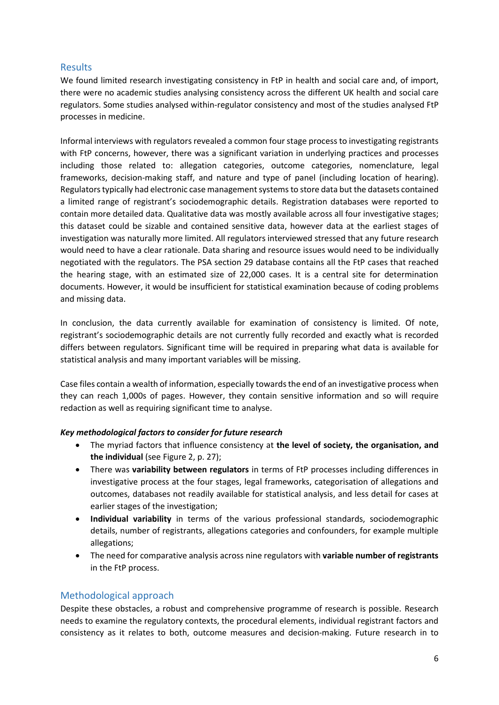# <span id="page-5-0"></span>Results

We found limited research investigating consistency in FtP in health and social care and, of import, there were no academic studies analysing consistency across the different UK health and social care regulators. Some studies analysed within-regulator consistency and most of the studies analysed FtP processes in medicine.

Informal interviews with regulators revealed a common four stage process to investigating registrants with FtP concerns, however, there was a significant variation in underlying practices and processes including those related to: allegation categories, outcome categories, nomenclature, legal frameworks, decision-making staff, and nature and type of panel (including location of hearing). Regulators typically had electronic case management systems to store data but the datasets contained a limited range of registrant's sociodemographic details. Registration databases were reported to contain more detailed data. Qualitative data was mostly available across all four investigative stages; this dataset could be sizable and contained sensitive data, however data at the earliest stages of investigation was naturally more limited. All regulators interviewed stressed that any future research would need to have a clear rationale. Data sharing and resource issues would need to be individually negotiated with the regulators. The PSA section 29 database contains all the FtP cases that reached the hearing stage, with an estimated size of 22,000 cases. It is a central site for determination documents. However, it would be insufficient for statistical examination because of coding problems and missing data.

In conclusion, the data currently available for examination of consistency is limited. Of note, registrant's sociodemographic details are not currently fully recorded and exactly what is recorded differs between regulators. Significant time will be required in preparing what data is available for statistical analysis and many important variables will be missing.

Case files contain a wealth of information, especially towards the end of an investigative process when they can reach 1,000s of pages. However, they contain sensitive information and so will require redaction as well as requiring significant time to analyse.

# *Key methodological factors to consider for future research*

- The myriad factors that influence consistency at **the level of society, the organisation, and the individual** (see Figure 2, p. 27);
- There was **variability between regulators** in terms of FtP processes including differences in investigative process at the four stages, legal frameworks, categorisation of allegations and outcomes, databases not readily available for statistical analysis, and less detail for cases at earlier stages of the investigation;
- **Individual variability** in terms of the various professional standards, sociodemographic details, number of registrants, allegations categories and confounders, for example multiple allegations;
- The need for comparative analysis across nine regulators with **variable number of registrants** in the FtP process.

# <span id="page-5-1"></span>Methodological approach

Despite these obstacles, a robust and comprehensive programme of research is possible. Research needs to examine the regulatory contexts, the procedural elements, individual registrant factors and consistency as it relates to both, outcome measures and decision-making. Future research in to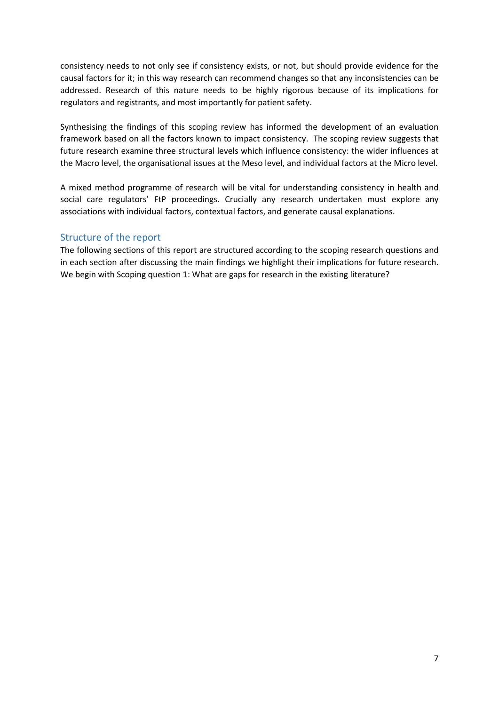consistency needs to not only see if consistency exists, or not, but should provide evidence for the causal factors for it; in this way research can recommend changes so that any inconsistencies can be addressed. Research of this nature needs to be highly rigorous because of its implications for regulators and registrants, and most importantly for patient safety.

Synthesising the findings of this scoping review has informed the development of an evaluation framework based on all the factors known to impact consistency. The scoping review suggests that future research examine three structural levels which influence consistency: the wider influences at the Macro level, the organisational issues at the Meso level, and individual factors at the Micro level.

A mixed method programme of research will be vital for understanding consistency in health and social care regulators' FtP proceedings. Crucially any research undertaken must explore any associations with individual factors, contextual factors, and generate causal explanations.

# <span id="page-6-0"></span>Structure of the report

The following sections of this report are structured according to the scoping research questions and in each section after discussing the main findings we highlight their implications for future research. We begin with Scoping question 1: What are gaps for research in the existing literature?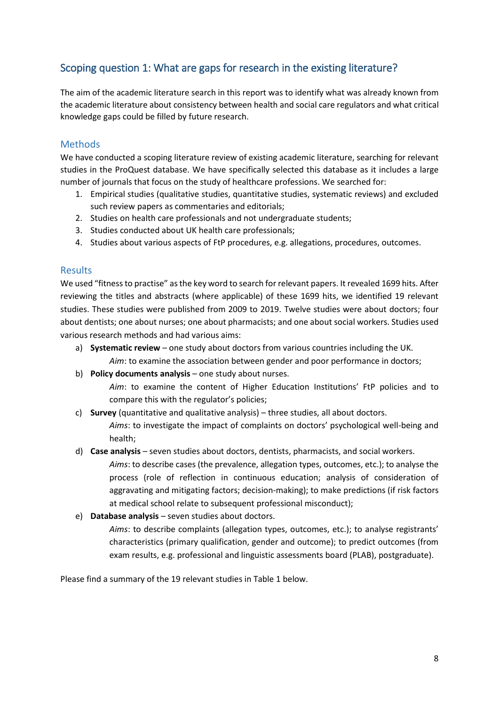# <span id="page-7-0"></span>Scoping question 1: What are gaps for research in the existing literature?

The aim of the academic literature search in this report was to identify what was already known from the academic literature about consistency between health and social care regulators and what critical knowledge gaps could be filled by future research.

# <span id="page-7-1"></span>Methods

We have conducted a scoping literature review of existing academic literature, searching for relevant studies in the ProQuest database. We have specifically selected this database as it includes a large number of journals that focus on the study of healthcare professions. We searched for:

- 1. Empirical studies (qualitative studies, quantitative studies, systematic reviews) and excluded such review papers as commentaries and editorials;
- 2. Studies on health care professionals and not undergraduate students;
- 3. Studies conducted about UK health care professionals;
- 4. Studies about various aspects of FtP procedures, e.g. allegations, procedures, outcomes.

# <span id="page-7-2"></span>Results

We used "fitness to practise" as the key word to search for relevant papers. It revealed 1699 hits. After reviewing the titles and abstracts (where applicable) of these 1699 hits, we identified 19 relevant studies. These studies were published from 2009 to 2019. Twelve studies were about doctors; four about dentists; one about nurses; one about pharmacists; and one about social workers. Studies used various research methods and had various aims:

- a) **Systematic review** one study about doctors from various countries including the UK.
	- *Aim*: to examine the association between gender and poor performance in doctors;
- b) **Policy documents analysis** one study about nurses.

*Aim*: to examine the content of Higher Education Institutions' FtP policies and to compare this with the regulator's policies;

- c) **Survey** (quantitative and qualitative analysis) three studies, all about doctors. *Aims*: to investigate the impact of complaints on doctors' psychological well-being and health;
- d) **Case analysis** seven studies about doctors, dentists, pharmacists, and social workers.

*Aims*: to describe cases (the prevalence, allegation types, outcomes, etc.); to analyse the process (role of reflection in continuous education; analysis of consideration of aggravating and mitigating factors; decision-making); to make predictions (if risk factors at medical school relate to subsequent professional misconduct);

e) **Database analysis** – seven studies about doctors.

*Aims*: to describe complaints (allegation types, outcomes, etc.); to analyse registrants' characteristics (primary qualification, gender and outcome); to predict outcomes (from exam results, e.g. professional and linguistic assessments board (PLAB), postgraduate).

Please find a summary of the 19 relevant studies in Table 1 below.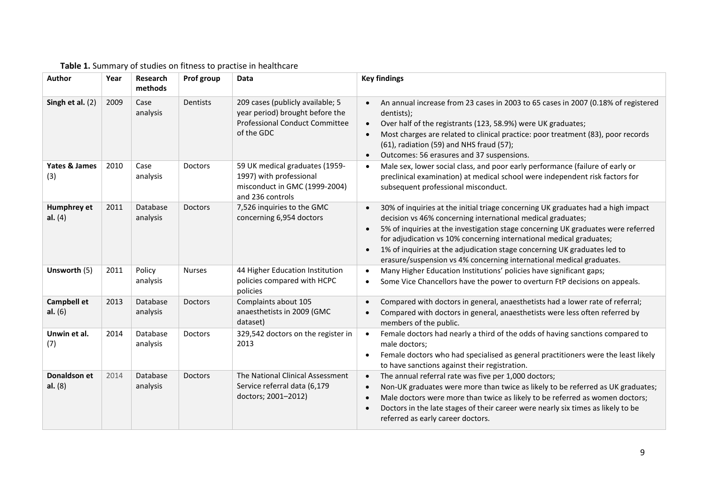| Author                          | Year | Research<br>methods  | Prof group     | Data                                                                                                                       | <b>Key findings</b>                                                                                                                                                                                                                                                                                                                                                                                                                                            |
|---------------------------------|------|----------------------|----------------|----------------------------------------------------------------------------------------------------------------------------|----------------------------------------------------------------------------------------------------------------------------------------------------------------------------------------------------------------------------------------------------------------------------------------------------------------------------------------------------------------------------------------------------------------------------------------------------------------|
| Singh et al. $(2)$              | 2009 | Case<br>analysis     | Dentists       | 209 cases (publicly available; 5<br>year period) brought before the<br><b>Professional Conduct Committee</b><br>of the GDC | An annual increase from 23 cases in 2003 to 65 cases in 2007 (0.18% of registered<br>dentists);<br>Over half of the registrants (123, 58.9%) were UK graduates;<br>Most charges are related to clinical practice: poor treatment (83), poor records<br>(61), radiation (59) and NHS fraud (57);<br>Outcomes: 56 erasures and 37 suspensions.                                                                                                                   |
| Yates & James<br>(3)            | 2010 | Case<br>analysis     | Doctors        | 59 UK medical graduates (1959-<br>1997) with professional<br>misconduct in GMC (1999-2004)<br>and 236 controls             | Male sex, lower social class, and poor early performance (failure of early or<br>preclinical examination) at medical school were independent risk factors for<br>subsequent professional misconduct.                                                                                                                                                                                                                                                           |
| Humphrey et<br>al. $(4)$        | 2011 | Database<br>analysis | <b>Doctors</b> | 7,526 inquiries to the GMC<br>concerning 6,954 doctors                                                                     | 30% of inquiries at the initial triage concerning UK graduates had a high impact<br>decision vs 46% concerning international medical graduates;<br>5% of inquiries at the investigation stage concerning UK graduates were referred<br>for adjudication vs 10% concerning international medical graduates;<br>1% of inquiries at the adjudication stage concerning UK graduates led to<br>erasure/suspension vs 4% concerning international medical graduates. |
| Unsworth (5)                    | 2011 | Policy<br>analysis   | <b>Nurses</b>  | 44 Higher Education Institution<br>policies compared with HCPC<br>policies                                                 | Many Higher Education Institutions' policies have significant gaps;<br>Some Vice Chancellors have the power to overturn FtP decisions on appeals.<br>$\bullet$                                                                                                                                                                                                                                                                                                 |
| <b>Campbell et</b><br>al. $(6)$ | 2013 | Database<br>analysis | Doctors        | Complaints about 105<br>anaesthetists in 2009 (GMC<br>dataset)                                                             | Compared with doctors in general, anaesthetists had a lower rate of referral;<br>Compared with doctors in general, anaesthetists were less often referred by<br>members of the public.                                                                                                                                                                                                                                                                         |
| Unwin et al.<br>(7)             | 2014 | Database<br>analysis | Doctors        | 329,542 doctors on the register in<br>2013                                                                                 | Female doctors had nearly a third of the odds of having sanctions compared to<br>male doctors;<br>Female doctors who had specialised as general practitioners were the least likely<br>to have sanctions against their registration.                                                                                                                                                                                                                           |
| Donaldson et<br>al. $(8)$       | 2014 | Database<br>analysis | Doctors        | The National Clinical Assessment<br>Service referral data (6,179<br>doctors; 2001-2012)                                    | The annual referral rate was five per 1,000 doctors;<br>Non-UK graduates were more than twice as likely to be referred as UK graduates;<br>Male doctors were more than twice as likely to be referred as women doctors;<br>Doctors in the late stages of their career were nearly six times as likely to be<br>referred as early career doctors.                                                                                                               |

# **Table 1.** Summary of studies on fitness to practise in healthcare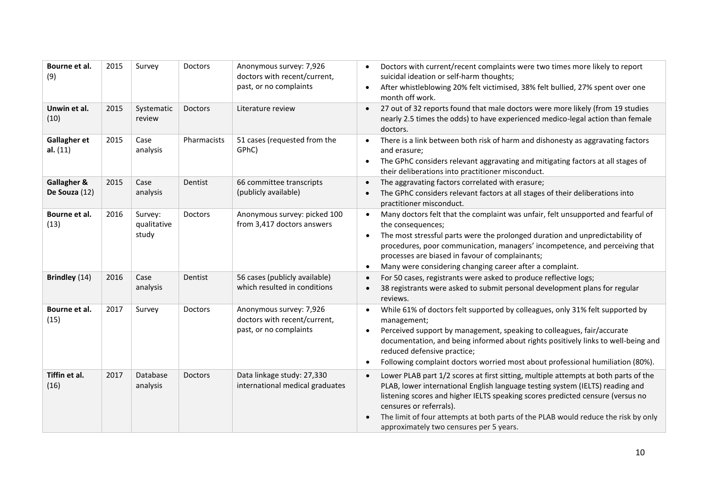| Bourne et al.<br>(9)            | 2015 | Survey                          | Doctors        | Anonymous survey: 7,926<br>doctors with recent/current,<br>past, or no complaints | Doctors with current/recent complaints were two times more likely to report<br>$\bullet$<br>suicidal ideation or self-harm thoughts;<br>After whistleblowing 20% felt victimised, 38% felt bullied, 27% spent over one<br>$\bullet$<br>month off work.                                                                                                                                                             |
|---------------------------------|------|---------------------------------|----------------|-----------------------------------------------------------------------------------|--------------------------------------------------------------------------------------------------------------------------------------------------------------------------------------------------------------------------------------------------------------------------------------------------------------------------------------------------------------------------------------------------------------------|
| Unwin et al.<br>(10)            | 2015 | Systematic<br>review            | <b>Doctors</b> | Literature review                                                                 | 27 out of 32 reports found that male doctors were more likely (from 19 studies<br>$\bullet$<br>nearly 2.5 times the odds) to have experienced medico-legal action than female<br>doctors.                                                                                                                                                                                                                          |
| <b>Gallagher et</b><br>al. (11) | 2015 | Case<br>analysis                | Pharmacists    | 51 cases (requested from the<br>GPhC)                                             | There is a link between both risk of harm and dishonesty as aggravating factors<br>and erasure;<br>The GPhC considers relevant aggravating and mitigating factors at all stages of<br>$\bullet$<br>their deliberations into practitioner misconduct.                                                                                                                                                               |
| Gallagher &<br>De Souza (12)    | 2015 | Case<br>analysis                | Dentist        | 66 committee transcripts<br>(publicly available)                                  | The aggravating factors correlated with erasure;<br>$\bullet$<br>The GPhC considers relevant factors at all stages of their deliberations into<br>practitioner misconduct.                                                                                                                                                                                                                                         |
| Bourne et al.<br>(13)           | 2016 | Survey:<br>qualitative<br>study | Doctors        | Anonymous survey: picked 100<br>from 3,417 doctors answers                        | Many doctors felt that the complaint was unfair, felt unsupported and fearful of<br>the consequences;<br>The most stressful parts were the prolonged duration and unpredictability of<br>$\bullet$<br>procedures, poor communication, managers' incompetence, and perceiving that<br>processes are biased in favour of complainants;<br>Many were considering changing career after a complaint.                   |
| Brindley (14)                   | 2016 | Case<br>analysis                | Dentist        | 56 cases (publicly available)<br>which resulted in conditions                     | For 50 cases, registrants were asked to produce reflective logs;<br>38 registrants were asked to submit personal development plans for regular<br>reviews.                                                                                                                                                                                                                                                         |
| Bourne et al.<br>(15)           | 2017 | Survey                          | <b>Doctors</b> | Anonymous survey: 7,926<br>doctors with recent/current,<br>past, or no complaints | While 61% of doctors felt supported by colleagues, only 31% felt supported by<br>management;<br>Perceived support by management, speaking to colleagues, fair/accurate<br>$\bullet$<br>documentation, and being informed about rights positively links to well-being and<br>reduced defensive practice;<br>Following complaint doctors worried most about professional humiliation (80%).<br>$\bullet$             |
| Tiffin et al.<br>(16)           | 2017 | Database<br>analysis            | <b>Doctors</b> | Data linkage study: 27,330<br>international medical graduates                     | Lower PLAB part 1/2 scores at first sitting, multiple attempts at both parts of the<br>PLAB, lower international English language testing system (IELTS) reading and<br>listening scores and higher IELTS speaking scores predicted censure (versus no<br>censures or referrals).<br>The limit of four attempts at both parts of the PLAB would reduce the risk by only<br>approximately two censures per 5 years. |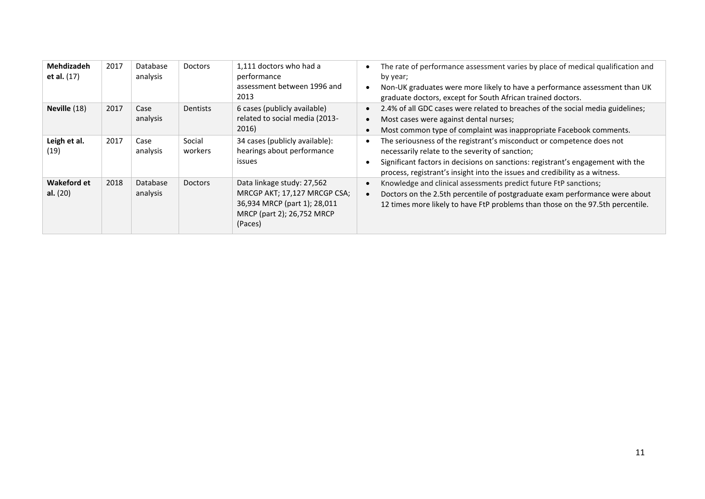| Mehdizadeh<br>et al. (17)        | 2017 | Database<br>analysis | <b>Doctors</b>    | 1,111 doctors who had a<br>performance<br>assessment between 1996 and<br>2013                                                       | The rate of performance assessment varies by place of medical qualification and<br>by year;<br>Non-UK graduates were more likely to have a performance assessment than UK<br>graduate doctors, except for South African trained doctors.                                                   |
|----------------------------------|------|----------------------|-------------------|-------------------------------------------------------------------------------------------------------------------------------------|--------------------------------------------------------------------------------------------------------------------------------------------------------------------------------------------------------------------------------------------------------------------------------------------|
| Neville (18)                     | 2017 | Case<br>analysis     | Dentists          | 6 cases (publicly available)<br>related to social media (2013-<br>2016)                                                             | 2.4% of all GDC cases were related to breaches of the social media guidelines;<br>Most cases were against dental nurses;<br>Most common type of complaint was inappropriate Facebook comments.                                                                                             |
| Leigh et al.<br>(19)             | 2017 | Case<br>analysis     | Social<br>workers | 34 cases (publicly available):<br>hearings about performance<br>issues                                                              | The seriousness of the registrant's misconduct or competence does not<br>necessarily relate to the severity of sanction;<br>Significant factors in decisions on sanctions: registrant's engagement with the<br>process, registrant's insight into the issues and credibility as a witness. |
| <b>Wakeford et</b><br>al. $(20)$ | 2018 | Database<br>analysis | <b>Doctors</b>    | Data linkage study: 27,562<br>MRCGP AKT; 17,127 MRCGP CSA;<br>36,934 MRCP (part 1); 28,011<br>MRCP (part 2); 26,752 MRCP<br>(Paces) | Knowledge and clinical assessments predict future FtP sanctions;<br>Doctors on the 2.5th percentile of postgraduate exam performance were about<br>12 times more likely to have FtP problems than those on the 97.5th percentile.                                                          |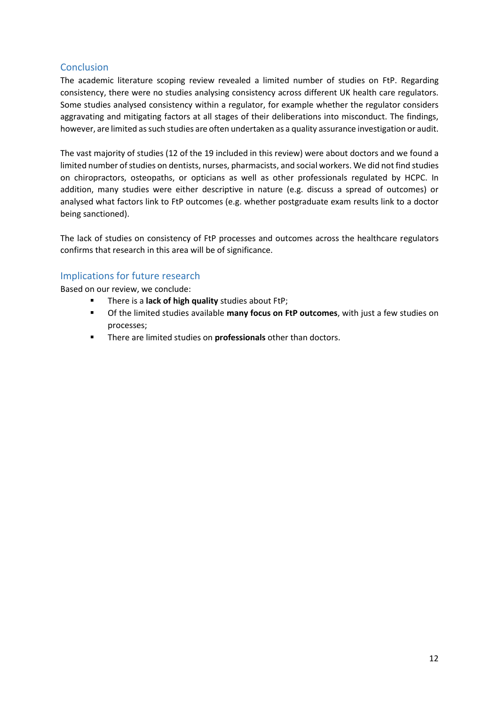# <span id="page-11-0"></span>**Conclusion**

The academic literature scoping review revealed a limited number of studies on FtP. Regarding consistency, there were no studies analysing consistency across different UK health care regulators. Some studies analysed consistency within a regulator, for example whether the regulator considers aggravating and mitigating factors at all stages of their deliberations into misconduct. The findings, however, are limited as such studies are often undertaken as a quality assurance investigation or audit.

The vast majority of studies (12 of the 19 included in this review) were about doctors and we found a limited number of studies on dentists, nurses, pharmacists, and social workers. We did not find studies on chiropractors, osteopaths, or opticians as well as other professionals regulated by HCPC. In addition, many studies were either descriptive in nature (e.g. discuss a spread of outcomes) or analysed what factors link to FtP outcomes (e.g. whether postgraduate exam results link to a doctor being sanctioned).

The lack of studies on consistency of FtP processes and outcomes across the healthcare regulators confirms that research in this area will be of significance.

# <span id="page-11-1"></span>Implications for future research

Based on our review, we conclude:

- There is a **lack of high quality** studies about FtP;
- Of the limited studies available **many focus on FtP outcomes**, with just a few studies on processes;
- There are limited studies on **professionals** other than doctors.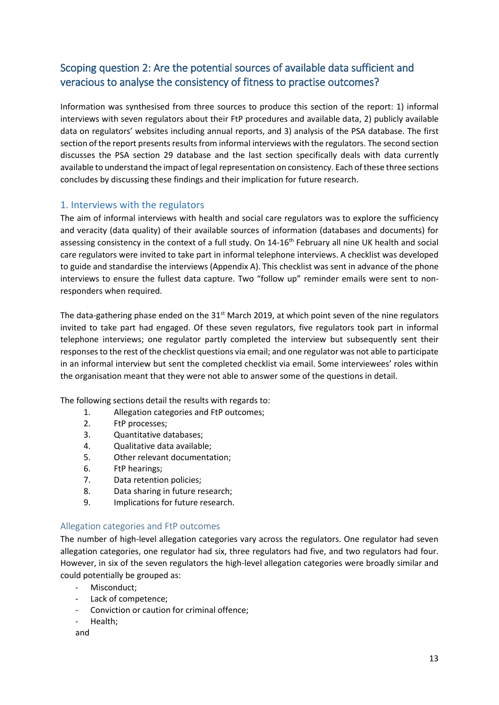# <span id="page-12-0"></span>Scoping question 2: Are the potential sources of available data sufficient and veracious to analyse the consistency of fitness to practise outcomes?

Information was synthesised from three sources to produce this section of the report: 1) informal interviews with seven regulators about their FtP procedures and available data, 2) publicly available data on regulators' websites including annual reports, and 3) analysis of the PSA database. The first section of the report presents results from informal interviews with the regulators. The second section discusses the PSA section 29 database and the last section specifically deals with data currently available to understand the impact of legal representation on consistency. Each of these three sections concludes by discussing these findings and their implication for future research.

# <span id="page-12-1"></span>1. Interviews with the regulators

The aim of informal interviews with health and social care regulators was to explore the sufficiency and veracity (data quality) of their available sources of information (databases and documents) for assessing consistency in the context of a full study. On 14-16<sup>th</sup> February all nine UK health and social care regulators were invited to take part in informal telephone interviews. A checklist was developed to guide and standardise the interviews (Appendix A). This checklist was sent in advance of the phone interviews to ensure the fullest data capture. Two "follow up" reminder emails were sent to nonresponders when required.

The data-gathering phase ended on the 31<sup>st</sup> March 2019, at which point seven of the nine regulators invited to take part had engaged. Of these seven regulators, five regulators took part in informal telephone interviews; one regulator partly completed the interview but subsequently sent their responses to the rest of the checklist questions via email; and one regulator was not able to participate in an informal interview but sent the completed checklist via email. Some interviewees' roles within the organisation meant that they were not able to answer some of the questions in detail.

The following sections detail the results with regards to:

- 1. Allegation categories and FtP outcomes;
- 2. FtP processes;
- 3. Quantitative databases;
- 4. Qualitative data available;
- 5. Other relevant documentation;
- 6. FtP hearings;
- 7. Data retention policies;
- 8. Data sharing in future research;
- 9. Implications for future research.

### <span id="page-12-2"></span>Allegation categories and FtP outcomes

The number of high-level allegation categories vary across the regulators. One regulator had seven allegation categories, one regulator had six, three regulators had five, and two regulators had four. However, in six of the seven regulators the high-level allegation categories were broadly similar and could potentially be grouped as:

- Misconduct;
- Lack of competence;
- Conviction or caution for criminal offence;
- Health;

and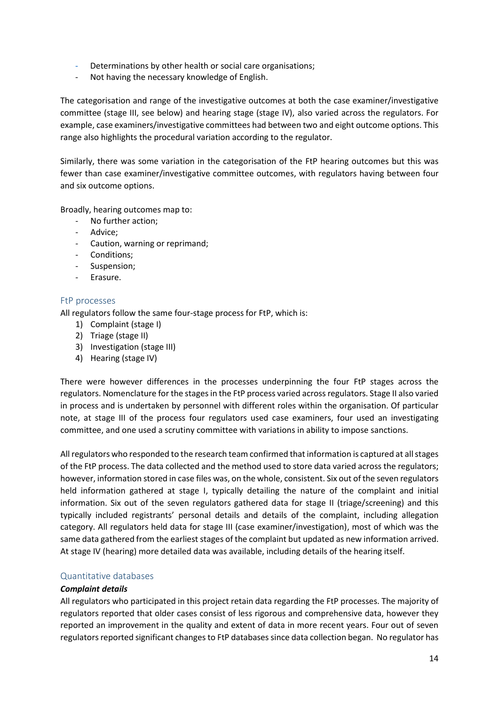- [Determinations by other health or social care organisations;](https://www.nmc.org.uk/ftp-library/understanding-fitness-to-practise/fitness-to-practise-allegations/determinations-by-other-health-or-social-care-organisations/)
- [Not having the necessary knowledge of English.](https://www.nmc.org.uk/ftp-library/understanding-fitness-to-practise/fitness-to-practise-allegations/not-having-the-necessary-knowledge-of-english/)

The categorisation and range of the investigative outcomes at both the case examiner/investigative committee (stage III, see below) and hearing stage (stage IV), also varied across the regulators. For example, case examiners/investigative committees had between two and eight outcome options. This range also highlights the procedural variation according to the regulator.

Similarly, there was some variation in the categorisation of the FtP hearing outcomes but this was fewer than case examiner/investigative committee outcomes, with regulators having between four and six outcome options.

Broadly, hearing outcomes map to:

- No further action;
- Advice;
- Caution, warning or reprimand;
- Conditions;
- Suspension;
- Erasure.

### <span id="page-13-0"></span>FtP processes

All regulators follow the same four-stage process for FtP, which is:

- 1) Complaint (stage I)
- 2) Triage (stage II)
- 3) Investigation (stage III)
- 4) Hearing (stage IV)

There were however differences in the processes underpinning the four FtP stages across the regulators. Nomenclature for the stages in the FtP process varied across regulators. Stage II also varied in process and is undertaken by personnel with different roles within the organisation. Of particular note, at stage III of the process four regulators used case examiners, four used an investigating committee, and one used a scrutiny committee with variations in ability to impose sanctions.

All regulators who responded to the research team confirmed that information is captured at all stages of the FtP process. The data collected and the method used to store data varied across the regulators; however, information stored in case files was, on the whole, consistent. Six out of the seven regulators held information gathered at stage I, typically detailing the nature of the complaint and initial information. Six out of the seven regulators gathered data for stage II (triage/screening) and this typically included registrants' personal details and details of the complaint, including allegation category. All regulators held data for stage III (case examiner/investigation), most of which was the same data gathered from the earliest stages of the complaint but updated as new information arrived. At stage IV (hearing) more detailed data was available, including details of the hearing itself.

#### <span id="page-13-1"></span>Quantitative databases

#### *Complaint details*

All regulators who participated in this project retain data regarding the FtP processes. The majority of regulators reported that older cases consist of less rigorous and comprehensive data, however they reported an improvement in the quality and extent of data in more recent years. Four out of seven regulators reported significant changes to FtP databases since data collection began. No regulator has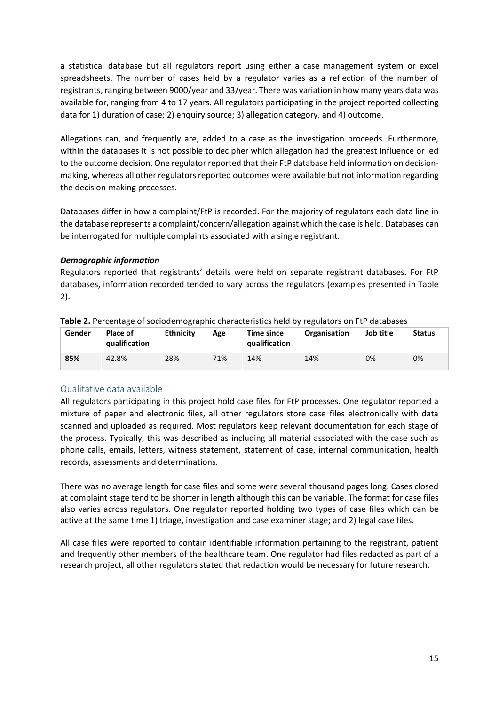a statistical database but all regulators report using either a case management system or excel spreadsheets. The number of cases held by a regulator varies as a reflection of the number of registrants, ranging between 9000/year and 33/year. There was variation in how many years data was available for, ranging from 4 to 17 years. All regulators participating in the project reported collecting data for 1) duration of case; 2) enquiry source; 3) allegation category, and 4) outcome.

Allegations can, and frequently are, added to a case as the investigation proceeds. Furthermore, within the databases it is not possible to decipher which allegation had the greatest influence or led to the outcome decision. One regulator reported that their FtP database held information on decisionmaking, whereas all other regulators reported outcomes were available but not information regarding the decision-making processes.

Databases differ in how a complaint/FtP is recorded. For the majority of regulators each data line in the database represents a complaint/concern/allegation against which the case is held. Databases can be interrogated for multiple complaints associated with a single registrant.

### *Demographic information*

Regulators reported that registrants' details were held on separate registrant databases. For FtP databases, information recorded tended to vary across the regulators (examples presented in Table 2).

| Gender | Place of<br>qualification | <b>Ethnicity</b> | Age | <b>Time since</b><br>qualification | <b>Organisation</b> | Job title | <b>Status</b> |
|--------|---------------------------|------------------|-----|------------------------------------|---------------------|-----------|---------------|
| 85%    | 42.8%                     | 28%              | 71% | 14%                                | 14%                 | 0%        | 0%            |

| Table 2. Percentage of sociodemographic characteristics held by regulators on FtP databases |  |
|---------------------------------------------------------------------------------------------|--|
|                                                                                             |  |

# <span id="page-14-0"></span>Qualitative data available

All regulators participating in this project hold case files for FtP processes. One regulator reported a mixture of paper and electronic files, all other regulators store case files electronically with data scanned and uploaded as required. Most regulators keep relevant documentation for each stage of the process. Typically, this was described as including all material associated with the case such as phone calls, emails, letters, witness statement, statement of case, internal communication, health records, assessments and determinations.

There was no average length for case files and some were several thousand pages long. Cases closed at complaint stage tend to be shorter in length although this can be variable. The format for case files also varies across regulators. One regulator reported holding two types of case files which can be active at the same time 1) triage, investigation and case examiner stage; and 2) legal case files.

<span id="page-14-1"></span>All case files were reported to contain identifiable information pertaining to the registrant, patient and frequently other members of the healthcare team. One regulator had files redacted as part of a research project, all other regulators stated that redaction would be necessary for future research.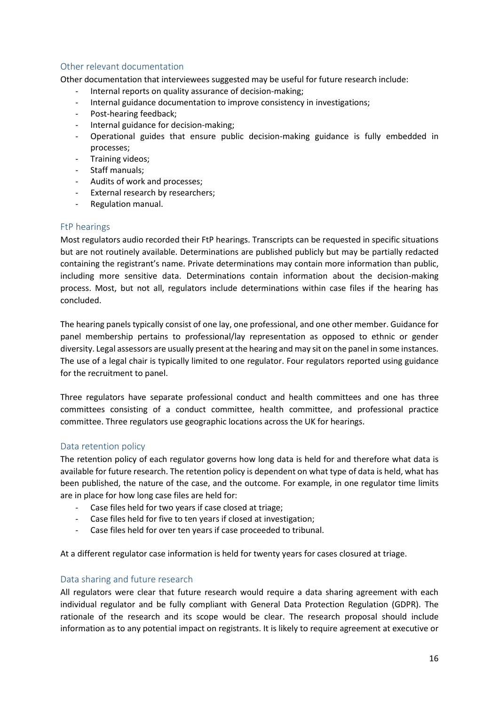# Other relevant documentation

Other documentation that interviewees suggested may be useful for future research include:

- Internal reports on quality assurance of decision-making;
- Internal guidance documentation to improve consistency in investigations;
- Post-hearing feedback;
- Internal guidance for decision-making;
- Operational guides that ensure public decision-making guidance is fully embedded in processes;
- Training videos;
- Staff manuals;
- Audits of work and processes;
- External research by researchers;
- Regulation manual.

### <span id="page-15-0"></span>FtP hearings

Most regulators audio recorded their FtP hearings. Transcripts can be requested in specific situations but are not routinely available. Determinations are published publicly but may be partially redacted containing the registrant's name. Private determinations may contain more information than public, including more sensitive data. Determinations contain information about the decision-making process. Most, but not all, regulators include determinations within case files if the hearing has concluded.

The hearing panels typically consist of one lay, one professional, and one other member. Guidance for panel membership pertains to professional/lay representation as opposed to ethnic or gender diversity. Legal assessors are usually present at the hearing and may sit on the panel in some instances. The use of a legal chair is typically limited to one regulator. Four regulators reported using guidance for the recruitment to panel.

Three regulators have separate professional conduct and health committees and one has three committees consisting of a conduct committee, health committee, and professional practice committee. Three regulators use geographic locations across the UK for hearings.

# <span id="page-15-1"></span>Data retention policy

The retention policy of each regulator governs how long data is held for and therefore what data is available for future research. The retention policy is dependent on what type of data is held, what has been published, the nature of the case, and the outcome. For example, in one regulator time limits are in place for how long case files are held for:

- Case files held for two years if case closed at triage;
- Case files held for five to ten years if closed at investigation:
- Case files held for over ten years if case proceeded to tribunal.

<span id="page-15-2"></span>At a different regulator case information is held for twenty years for cases closured at triage.

#### Data sharing and future research

All regulators were clear that future research would require a data sharing agreement with each individual regulator and be fully compliant with General Data Protection Regulation (GDPR). The rationale of the research and its scope would be clear. The research proposal should include information as to any potential impact on registrants. It is likely to require agreement at executive or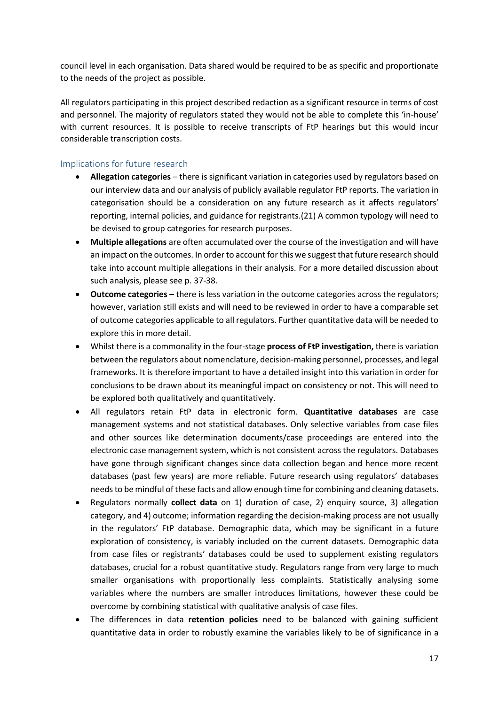council level in each organisation. Data shared would be required to be as specific and proportionate to the needs of the project as possible.

All regulators participating in this project described redaction as a significant resource in terms of cost and personnel. The majority of regulators stated they would not be able to complete this 'in-house' with current resources. It is possible to receive transcripts of FtP hearings but this would incur considerable transcription costs.

# <span id="page-16-0"></span>Implications for future research

- **Allegation categories** there is significant variation in categories used by regulators based on our interview data and our analysis of publicly available regulator FtP reports. The variation in categorisation should be a consideration on any future research as it affects regulators' reporting, internal policies, and guidance for registrants.(21) A common typology will need to be devised to group categories for research purposes.
- **Multiple allegations** are often accumulated over the course of the investigation and will have an impact on the outcomes. In order to account for this we suggest that future research should take into account multiple allegations in their analysis. For a more detailed discussion about such analysis, please see p. 37-38.
- **Outcome categories** there is less variation in the outcome categories across the regulators; however, variation still exists and will need to be reviewed in order to have a comparable set of outcome categories applicable to all regulators. Further quantitative data will be needed to explore this in more detail.
- Whilst there is a commonality in the four-stage **process of FtP investigation,** there is variation between the regulators about nomenclature, decision-making personnel, processes, and legal frameworks. It is therefore important to have a detailed insight into this variation in order for conclusions to be drawn about its meaningful impact on consistency or not. This will need to be explored both qualitatively and quantitatively.
- All regulators retain FtP data in electronic form. **Quantitative databases** are case management systems and not statistical databases. Only selective variables from case files and other sources like determination documents/case proceedings are entered into the electronic case management system, which is not consistent across the regulators. Databases have gone through significant changes since data collection began and hence more recent databases (past few years) are more reliable. Future research using regulators' databases needs to be mindful of these facts and allow enough time for combining and cleaning datasets.
- Regulators normally **collect data** on 1) duration of case, 2) enquiry source, 3) allegation category, and 4) outcome; information regarding the decision-making process are not usually in the regulators' FtP database. Demographic data, which may be significant in a future exploration of consistency, is variably included on the current datasets. Demographic data from case files or registrants' databases could be used to supplement existing regulators databases, crucial for a robust quantitative study. Regulators range from very large to much smaller organisations with proportionally less complaints. Statistically analysing some variables where the numbers are smaller introduces limitations, however these could be overcome by combining statistical with qualitative analysis of case files.
- The differences in data **retention policies** need to be balanced with gaining sufficient quantitative data in order to robustly examine the variables likely to be of significance in a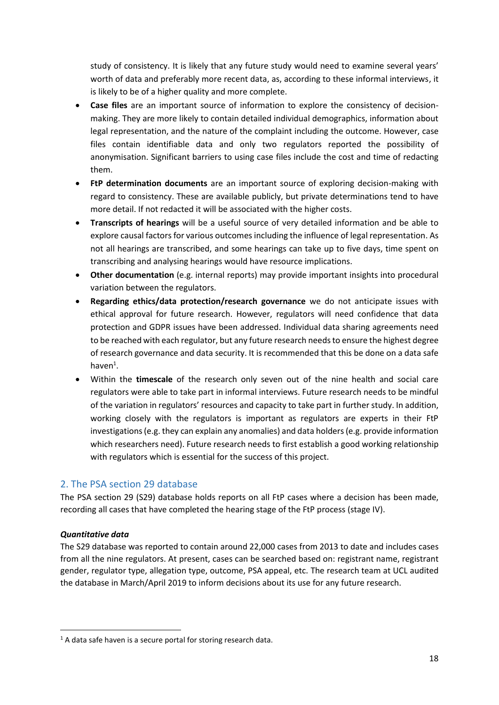study of consistency. It is likely that any future study would need to examine several years' worth of data and preferably more recent data, as, according to these informal interviews, it is likely to be of a higher quality and more complete.

- **Case files** are an important source of information to explore the consistency of decisionmaking. They are more likely to contain detailed individual demographics, information about legal representation, and the nature of the complaint including the outcome. However, case files contain identifiable data and only two regulators reported the possibility of anonymisation. Significant barriers to using case files include the cost and time of redacting them.
- **FtP determination documents** are an important source of exploring decision-making with regard to consistency. These are available publicly, but private determinations tend to have more detail. If not redacted it will be associated with the higher costs.
- **Transcripts of hearings** will be a useful source of very detailed information and be able to explore causal factors for various outcomes including the influence of legal representation. As not all hearings are transcribed, and some hearings can take up to five days, time spent on transcribing and analysing hearings would have resource implications.
- **Other documentation** (e.g. internal reports) may provide important insights into procedural variation between the regulators.
- **Regarding ethics/data protection/research governance** we do not anticipate issues with ethical approval for future research. However, regulators will need confidence that data protection and GDPR issues have been addressed. Individual data sharing agreements need to be reached with each regulator, but any future research needs to ensure the highest degree of research governance and data security. It is recommended that this be done on a data safe  $h$ aven $^1$ .
- Within the **timescale** of the research only seven out of the nine health and social care regulators were able to take part in informal interviews. Future research needs to be mindful of the variation in regulators' resources and capacity to take part in further study. In addition, working closely with the regulators is important as regulators are experts in their FtP investigations (e.g. they can explain any anomalies) and data holders (e.g. provide information which researchers need). Future research needs to first establish a good working relationship with regulators which is essential for the success of this project.

# <span id="page-17-0"></span>2. The PSA section 29 database

The PSA section 29 (S29) database holds reports on all FtP cases where a decision has been made, recording all cases that have completed the hearing stage of the FtP process (stage IV).

#### *Quantitative data*

**.** 

The S29 database was reported to contain around 22,000 cases from 2013 to date and includes cases from all the nine regulators. At present, cases can be searched based on: registrant name, registrant gender, regulator type, allegation type, outcome, PSA appeal, etc. The research team at UCL audited the database in March/April 2019 to inform decisions about its use for any future research.

 $1$  A data safe haven is a secure portal for storing research data.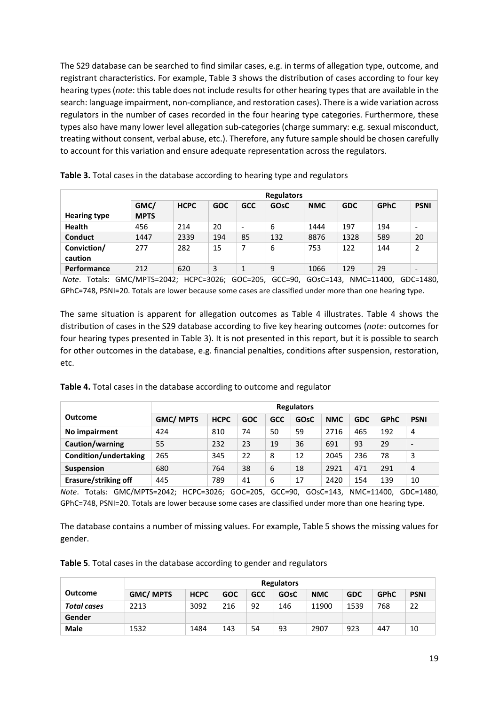The S29 database can be searched to find similar cases, e.g. in terms of allegation type, outcome, and registrant characteristics. For example, Table 3 shows the distribution of cases according to four key hearing types (*note*: this table does not include results for other hearing types that are available in the search: language impairment, non-compliance, and restoration cases). There is a wide variation across regulators in the number of cases recorded in the four hearing type categories. Furthermore, these types also have many lower level allegation sub-categories (charge summary: e.g. sexual misconduct, treating without consent, verbal abuse, etc.). Therefore, any future sample should be chosen carefully to account for this variation and ensure adequate representation across the regulators.

|                        |                     | <b>Regulators</b> |            |            |      |            |            |             |             |  |  |  |
|------------------------|---------------------|-------------------|------------|------------|------|------------|------------|-------------|-------------|--|--|--|
| <b>Hearing type</b>    | GMC/<br><b>MPTS</b> | <b>HCPC</b>       | <b>GOC</b> | <b>GCC</b> | GOsC | <b>NMC</b> | <b>GDC</b> | <b>GPhC</b> | <b>PSNI</b> |  |  |  |
| <b>Health</b>          | 456                 | 214               | 20         | ٠          | 6    | 1444       | 197        | 194         | ٠           |  |  |  |
| <b>Conduct</b>         | 1447                | 2339              | 194        | 85         | 132  | 8876       | 1328       | 589         | 20          |  |  |  |
| Conviction/<br>caution | 277                 | 282               | 15         | 7          | 6    | 753        | 122        | 144         |             |  |  |  |
| <b>Performance</b>     | 212                 | 620               | 3          | 1          | 9    | 1066       | 129        | 29          | ٠           |  |  |  |

**Table 3.** Total cases in the database according to hearing type and regulators

*Note*. Totals: GMC/MPTS=2042; HCPC=3026; GOC=205, GCC=90, GOsC=143, NMC=11400, GDC=1480, GPhC=748, PSNI=20. Totals are lower because some cases are classified under more than one hearing type.

The same situation is apparent for allegation outcomes as Table 4 illustrates. Table 4 shows the distribution of cases in the S29 database according to five key hearing outcomes (*note*: outcomes for four hearing types presented in Table 3). It is not presented in this report, but it is possible to search for other outcomes in the database, e.g. financial penalties, conditions after suspension, restoration, etc.

|                             | <b>Regulators</b> |             |            |            |      |            |            |             |                          |  |  |
|-----------------------------|-------------------|-------------|------------|------------|------|------------|------------|-------------|--------------------------|--|--|
| <b>Outcome</b>              | <b>GMC/ MPTS</b>  | <b>HCPC</b> | <b>GOC</b> | <b>GCC</b> | GOsC | <b>NMC</b> | <b>GDC</b> | <b>GPhC</b> | <b>PSNI</b>              |  |  |
| No impairment               | 424               | 810         | 74         | 50         | 59   | 2716       | 465        | 192         | 4                        |  |  |
| Caution/warning             | 55                | 232         | 23         | 19         | 36   | 691        | 93         | 29          | $\overline{\phantom{a}}$ |  |  |
| Condition/undertaking       | 265               | 345         | 22         | 8          | 12   | 2045       | 236        | 78          | 3                        |  |  |
| <b>Suspension</b>           | 680               | 764         | 38         | 6          | 18   | 2921       | 471        | 291         | 4                        |  |  |
| <b>Erasure/striking off</b> | 445               | 789         | 41         | 6          | 17   | 2420       | 154        | 139         | 10                       |  |  |

*Note*. Totals: GMC/MPTS=2042; HCPC=3026; GOC=205, GCC=90, GOsC=143, NMC=11400, GDC=1480, GPhC=748, PSNI=20. Totals are lower because some cases are classified under more than one hearing type.

The database contains a number of missing values. For example, Table 5 shows the missing values for gender.

|  |  |  |  |  | Table 5. Total cases in the database according to gender and regulators |
|--|--|--|--|--|-------------------------------------------------------------------------|
|--|--|--|--|--|-------------------------------------------------------------------------|

|                | <b>Regulators</b> |             |            |            |      |            |            |             |             |  |
|----------------|-------------------|-------------|------------|------------|------|------------|------------|-------------|-------------|--|
| <b>Outcome</b> | <b>GMC/MPTS</b>   | <b>HCPC</b> | <b>GOC</b> | <b>GCC</b> | GOsC | <b>NMC</b> | <b>GDC</b> | <b>GPhC</b> | <b>PSNI</b> |  |
| Total cases    | 2213              | 3092        | 216        | 92         | 146  | 11900      | 1539       | 768         | 22          |  |
| Gender         |                   |             |            |            |      |            |            |             |             |  |
| <b>Male</b>    | 1532              | 1484        | 143        | 54         | 93   | 2907       | 923        | 447         | 10          |  |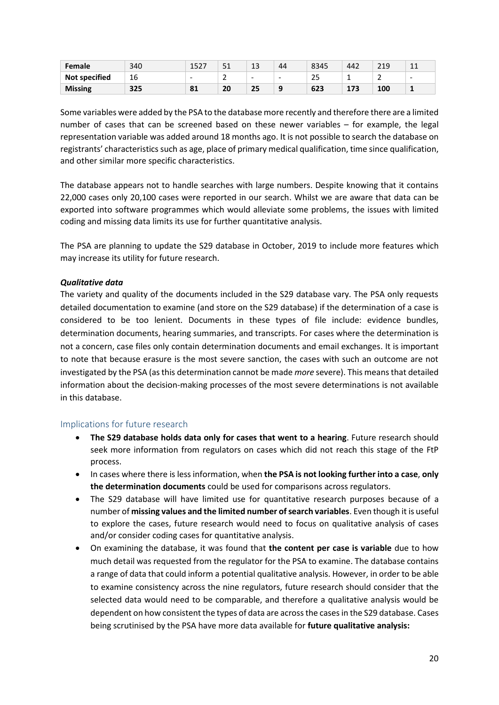| Female               | 340 | イロウラ<br>エコムノ | F <sub>1</sub><br>⊥ ب | 12<br>ᅩ                  | 44        | 8345      | 442      | 219 | $\sim$<br>ᆠᆂ             |
|----------------------|-----|--------------|-----------------------|--------------------------|-----------|-----------|----------|-----|--------------------------|
| <b>Not specified</b> | 16  | -            | -<br>-                | $\overline{\phantom{a}}$ | -         | n r<br>نے | -        | -   | $\overline{\phantom{a}}$ |
| <b>Missing</b>       | 325 | 81           | 20                    | 25                       | $\bullet$ | 623       | 173<br>∸ | 100 | $\overline{\mathbf{a}}$  |

Some variables were added by the PSA to the database more recently and therefore there are a limited number of cases that can be screened based on these newer variables – for example, the legal representation variable was added around 18 months ago. It is not possible to search the database on registrants' characteristics such as age, place of primary medical qualification, time since qualification, and other similar more specific characteristics.

The database appears not to handle searches with large numbers. Despite knowing that it contains 22,000 cases only 20,100 cases were reported in our search. Whilst we are aware that data can be exported into software programmes which would alleviate some problems, the issues with limited coding and missing data limits its use for further quantitative analysis.

The PSA are planning to update the S29 database in October, 2019 to include more features which may increase its utility for future research.

### *Qualitative data*

The variety and quality of the documents included in the S29 database vary. The PSA only requests detailed documentation to examine (and store on the S29 database) if the determination of a case is considered to be too lenient. Documents in these types of file include: evidence bundles, determination documents, hearing summaries, and transcripts. For cases where the determination is not a concern, case files only contain determination documents and email exchanges. It is important to note that because erasure is the most severe sanction, the cases with such an outcome are not investigated by the PSA (as this determination cannot be made *more* severe). This means that detailed information about the decision-making processes of the most severe determinations is not available in this database.

# <span id="page-19-0"></span>Implications for future research

- **The S29 database holds data only for cases that went to a hearing**. Future research should seek more information from regulators on cases which did not reach this stage of the FtP process.
- In cases where there is less information, when **the PSA is not looking further into a case**, **only the determination documents** could be used for comparisons across regulators.
- The S29 database will have limited use for quantitative research purposes because of a number of **missing values and the limited number of search variables**. Even though it is useful to explore the cases, future research would need to focus on qualitative analysis of cases and/or consider coding cases for quantitative analysis.
- On examining the database, it was found that **the content per case is variable** due to how much detail was requested from the regulator for the PSA to examine. The database contains a range of data that could inform a potential qualitative analysis. However, in order to be able to examine consistency across the nine regulators, future research should consider that the selected data would need to be comparable, and therefore a qualitative analysis would be dependent on how consistent the types of data are across the cases in the S29 database. Cases being scrutinised by the PSA have more data available for **future qualitative analysis:**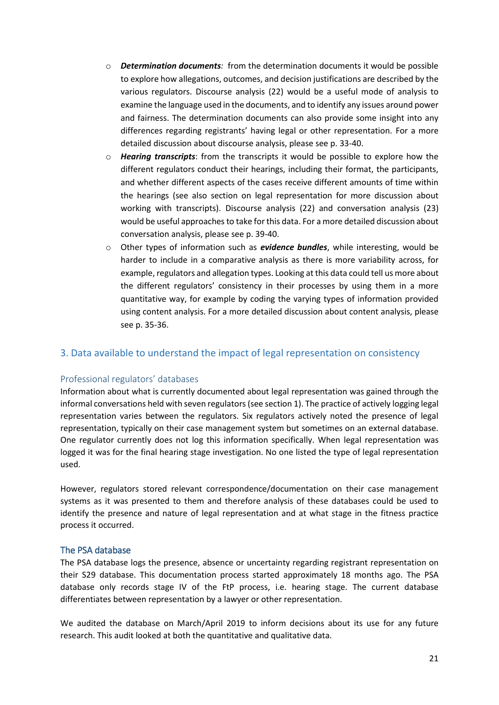- o *Determination documents:* from the determination documents it would be possible to explore how allegations, outcomes, and decision justifications are described by the various regulators. Discourse analysis (22) would be a useful mode of analysis to examine the language used in the documents, and to identify any issues around power and fairness. The determination documents can also provide some insight into any differences regarding registrants' having legal or other representation. For a more detailed discussion about discourse analysis, please see p. 33-40.
- o *Hearing transcripts*: from the transcripts it would be possible to explore how the different regulators conduct their hearings, including their format, the participants, and whether different aspects of the cases receive different amounts of time within the hearings (see also section on legal representation for more discussion about working with transcripts). Discourse analysis (22) and conversation analysis (23) would be useful approaches to take for this data. For a more detailed discussion about conversation analysis, please see p. 39-40.
- o Other types of information such as *evidence bundles*, while interesting, would be harder to include in a comparative analysis as there is more variability across, for example, regulators and allegation types. Looking at this data could tell us more about the different regulators' consistency in their processes by using them in a more quantitative way, for example by coding the varying types of information provided using content analysis. For a more detailed discussion about content analysis, please see p. 35-36.

# <span id="page-20-0"></span>3. Data available to understand the impact of legal representation on consistency

#### <span id="page-20-1"></span>Professional regulators' databases

Information about what is currently documented about legal representation was gained through the informal conversations held with seven regulators(see section 1). The practice of actively logging legal representation varies between the regulators. Six regulators actively noted the presence of legal representation, typically on their case management system but sometimes on an external database. One regulator currently does not log this information specifically. When legal representation was logged it was for the final hearing stage investigation. No one listed the type of legal representation used.

However, regulators stored relevant correspondence/documentation on their case management systems as it was presented to them and therefore analysis of these databases could be used to identify the presence and nature of legal representation and at what stage in the fitness practice process it occurred.

#### <span id="page-20-2"></span>The PSA database

The PSA database logs the presence, absence or uncertainty regarding registrant representation on their S29 database. This documentation process started approximately 18 months ago. The PSA database only records stage IV of the FtP process, i.e. hearing stage. The current database differentiates between representation by a lawyer or other representation.

We audited the database on March/April 2019 to inform decisions about its use for any future research. This audit looked at both the quantitative and qualitative data.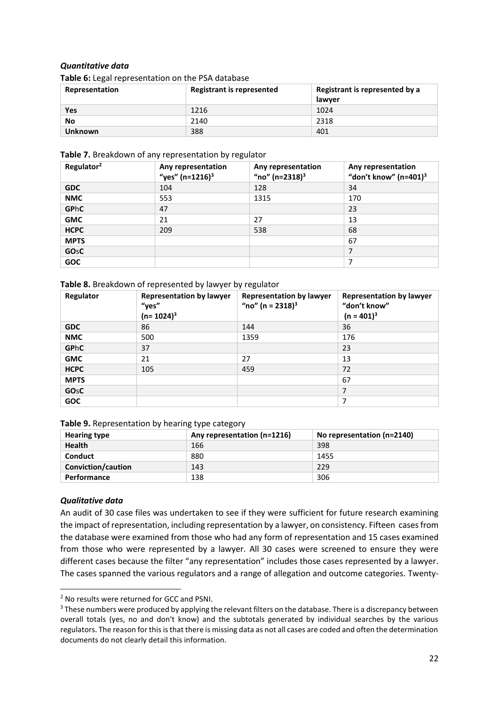### *Quantitative data*

**Table 6:** Legal representation on the PSA database

| Representation | <b>Registrant is represented</b> | Registrant is represented by a |  |  |  |  |  |  |
|----------------|----------------------------------|--------------------------------|--|--|--|--|--|--|
|                |                                  | lawver                         |  |  |  |  |  |  |
| Yes            | 1216                             | 1024                           |  |  |  |  |  |  |
| No             | 2140                             | 2318                           |  |  |  |  |  |  |
| <b>Unknown</b> | 388                              | 401                            |  |  |  |  |  |  |

#### **Table 7.** Breakdown of any representation by regulator

| Regulator <sup>2</sup> | Any representation<br>"yes" $(n=1216)^3$ | Any representation<br>"no" (n=2318) <sup>3</sup> | Any representation<br>"don't know" $(n=401)^3$ |
|------------------------|------------------------------------------|--------------------------------------------------|------------------------------------------------|
| <b>GDC</b>             | 104                                      | 128                                              | 34                                             |
| <b>NMC</b>             | 553                                      | 1315                                             | 170                                            |
| <b>GPhC</b>            | 47                                       |                                                  | 23                                             |
| <b>GMC</b>             | 21                                       | 27                                               | 13                                             |
| <b>HCPC</b>            | 209                                      | 538                                              | 68                                             |
| <b>MPTS</b>            |                                          |                                                  | 67                                             |
| <b>GO<sub>S</sub>C</b> |                                          |                                                  | 7                                              |
| <b>GOC</b>             |                                          |                                                  | 7                                              |

#### **Table 8.** Breakdown of represented by lawyer by regulator

| Regulator              | <b>Representation by lawyer</b><br>"yes"<br>$(n=1024)^3$ | <b>Representation by lawyer</b><br>"no" (n = $2318$ ) <sup>3</sup> | <b>Representation by lawyer</b><br>"don't know"<br>$(n = 401)^3$ |
|------------------------|----------------------------------------------------------|--------------------------------------------------------------------|------------------------------------------------------------------|
| <b>GDC</b>             | 86                                                       | 144                                                                | 36                                                               |
| <b>NMC</b>             | 500                                                      | 1359                                                               | 176                                                              |
| <b>GPhC</b>            | 37                                                       |                                                                    | 23                                                               |
| <b>GMC</b>             | 21                                                       | 27                                                                 | 13                                                               |
| <b>HCPC</b>            | 105                                                      | 459                                                                | 72                                                               |
| <b>MPTS</b>            |                                                          |                                                                    | 67                                                               |
| <b>GO<sub>s</sub>C</b> |                                                          |                                                                    | 7                                                                |
| <b>GOC</b>             |                                                          |                                                                    | 7                                                                |

| <b>Hearing type</b> | Any representation (n=1216) | No representation (n=2140) |  |  |  |  |  |  |
|---------------------|-----------------------------|----------------------------|--|--|--|--|--|--|
| <b>Health</b>       | 166                         | 398                        |  |  |  |  |  |  |
| Conduct             | 880                         | 1455                       |  |  |  |  |  |  |
| Conviction/caution  | 143                         | 229                        |  |  |  |  |  |  |
| <b>Performance</b>  | 138                         | 306                        |  |  |  |  |  |  |

#### *Qualitative data*

**.** 

An audit of 30 case files was undertaken to see if they were sufficient for future research examining the impact of representation, including representation by a lawyer, on consistency. Fifteen cases from the database were examined from those who had any form of representation and 15 cases examined from those who were represented by a lawyer. All 30 cases were screened to ensure they were different cases because the filter "any representation" includes those cases represented by a lawyer. The cases spanned the various regulators and a range of allegation and outcome categories. Twenty-

<sup>2</sup> No results were returned for GCC and PSNI.

<sup>&</sup>lt;sup>3</sup> These numbers were produced by applying the relevant filters on the database. There is a discrepancy between overall totals (yes, no and don't know) and the subtotals generated by individual searches by the various regulators. The reason for this is that there is missing data as not all cases are coded and often the determination documents do not clearly detail this information.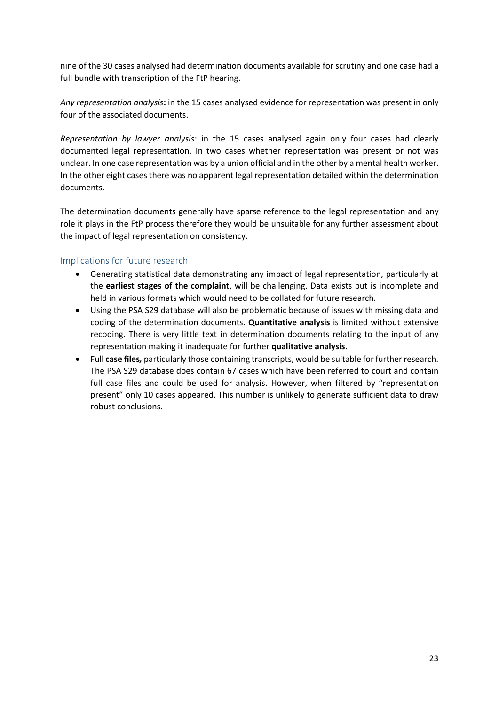nine of the 30 cases analysed had determination documents available for scrutiny and one case had a full bundle with transcription of the FtP hearing.

*Any representation analysis***:** in the 15 cases analysed evidence for representation was present in only four of the associated documents.

*Representation by lawyer analysis*: in the 15 cases analysed again only four cases had clearly documented legal representation. In two cases whether representation was present or not was unclear. In one case representation was by a union official and in the other by a mental health worker. In the other eight cases there was no apparent legal representation detailed within the determination documents.

The determination documents generally have sparse reference to the legal representation and any role it plays in the FtP process therefore they would be unsuitable for any further assessment about the impact of legal representation on consistency.

# <span id="page-22-0"></span>Implications for future research

- Generating statistical data demonstrating any impact of legal representation, particularly at the **earliest stages of the complaint**, will be challenging. Data exists but is incomplete and held in various formats which would need to be collated for future research.
- Using the PSA S29 database will also be problematic because of issues with missing data and coding of the determination documents. **Quantitative analysis** is limited without extensive recoding. There is very little text in determination documents relating to the input of any representation making it inadequate for further **qualitative analysis**.
- Full **case files***,* particularly those containing transcripts, would be suitable for further research. The PSA S29 database does contain 67 cases which have been referred to court and contain full case files and could be used for analysis. However, when filtered by "representation present" only 10 cases appeared. This number is unlikely to generate sufficient data to draw robust conclusions.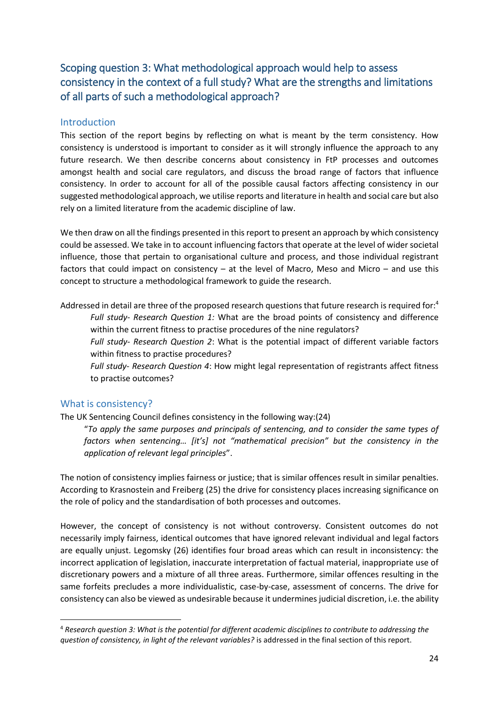# <span id="page-23-0"></span>Scoping question 3: What methodological approach would help to assess consistency in the context of a full study? What are the strengths and limitations of all parts of such a methodological approach?

# <span id="page-23-1"></span>Introduction

This section of the report begins by reflecting on what is meant by the term consistency. How consistency is understood is important to consider as it will strongly influence the approach to any future research. We then describe concerns about consistency in FtP processes and outcomes amongst health and social care regulators, and discuss the broad range of factors that influence consistency. In order to account for all of the possible causal factors affecting consistency in our suggested methodological approach, we utilise reports and literature in health and social care but also rely on a limited literature from the academic discipline of law.

We then draw on all the findings presented in this report to present an approach by which consistency could be assessed. We take in to account influencing factors that operate at the level of wider societal influence, those that pertain to organisational culture and process, and those individual registrant factors that could impact on consistency – at the level of Macro, Meso and Micro – and use this concept to structure a methodological framework to guide the research.

Addressed in detail are three of the proposed research questions that future research is required for:<sup>4</sup> *Full study- Research Question 1:* What are the broad points of consistency and difference within the current fitness to practise procedures of the nine regulators?

*Full study- Research Question 2*: What is the potential impact of different variable factors within fitness to practise procedures?

*Full study- Research Question 4*: How might legal representation of registrants affect fitness to practise outcomes?

# <span id="page-23-2"></span>What is consistency?

 $\overline{a}$ 

The UK Sentencing Council defines consistency in the following way:(24)

"*To apply the same purposes and principals of sentencing, and to consider the same types of factors when sentencing… [it's] not "mathematical precision" but the consistency in the application of relevant legal principles*".

The notion of consistency implies fairness or justice; that is similar offences result in similar penalties. According to Krasnostein and Freiberg (25) the drive for consistency places increasing significance on the role of policy and the standardisation of both processes and outcomes.

However, the concept of consistency is not without controversy. Consistent outcomes do not necessarily imply fairness, identical outcomes that have ignored relevant individual and legal factors are equally unjust. Legomsky (26) identifies four broad areas which can result in inconsistency: the incorrect application of legislation, inaccurate interpretation of factual material, inappropriate use of discretionary powers and a mixture of all three areas. Furthermore, similar offences resulting in the same forfeits precludes a more individualistic, case-by-case, assessment of concerns. The drive for consistency can also be viewed as undesirable because it undermines judicial discretion, i.e. the ability

<sup>4</sup> *Research question 3: What is the potential for different academic disciplines to contribute to addressing the question of consistency, in light of the relevant variables?* is addressed in the final section of this report.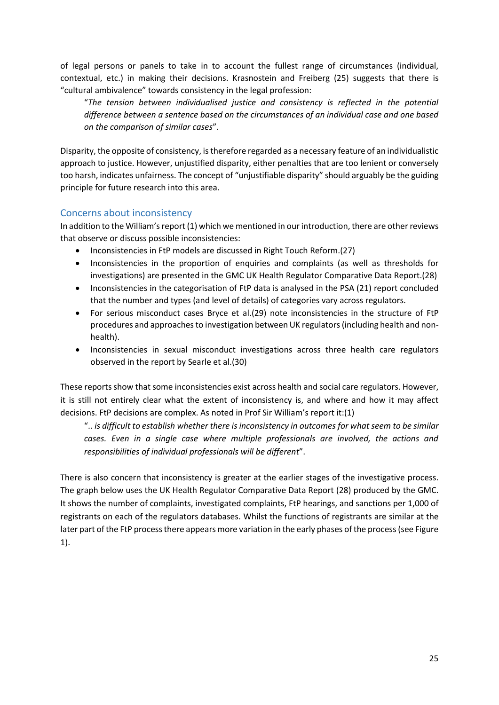of legal persons or panels to take in to account the fullest range of circumstances (individual, contextual, etc.) in making their decisions. Krasnostein and Freiberg (25) suggests that there is "cultural ambivalence" towards consistency in the legal profession:

"*The tension between individualised justice and consistency is reflected in the potential difference between a sentence based on the circumstances of an individual case and one based on the comparison of similar cases*".

Disparity, the opposite of consistency, is therefore regarded as a necessary feature of an individualistic approach to justice. However, unjustified disparity, either penalties that are too lenient or conversely too harsh, indicates unfairness. The concept of "unjustifiable disparity" should arguably be the guiding principle for future research into this area.

# <span id="page-24-0"></span>Concerns about inconsistency

In addition to the William's report (1) which we mentioned in our introduction, there are other reviews that observe or discuss possible inconsistencies:

- Inconsistencies in FtP models are discussed in Right Touch Reform.(27)
- Inconsistencies in the proportion of enquiries and complaints (as well as thresholds for investigations) are presented in the GMC UK Health Regulator Comparative Data Report.(28)
- Inconsistencies in the categorisation of FtP data is analysed in the PSA (21) report concluded that the number and types (and level of details) of categories vary across regulators.
- For serious misconduct cases Bryce et al.(29) note inconsistencies in the structure of FtP procedures and approaches to investigation between UK regulators (including health and nonhealth).
- Inconsistencies in sexual misconduct investigations across three health care regulators observed in the report by Searle et al.(30)

These reports show that some inconsistencies exist across health and social care regulators. However, it is still not entirely clear what the extent of inconsistency is, and where and how it may affect decisions. FtP decisions are complex. As noted in Prof Sir William's report it:(1)

".. *is difficult to establish whether there is inconsistency in outcomes for what seem to be similar cases. Even in a single case where multiple professionals are involved, the actions and responsibilities of individual professionals will be different*".

There is also concern that inconsistency is greater at the earlier stages of the investigative process. The graph below uses the UK Health Regulator Comparative Data Report (28) produced by the GMC. It shows the number of complaints, investigated complaints, FtP hearings, and sanctions per 1,000 of registrants on each of the regulators databases. Whilst the functions of registrants are similar at the later part of the FtP process there appears more variation in the early phases of the process (see Figure 1).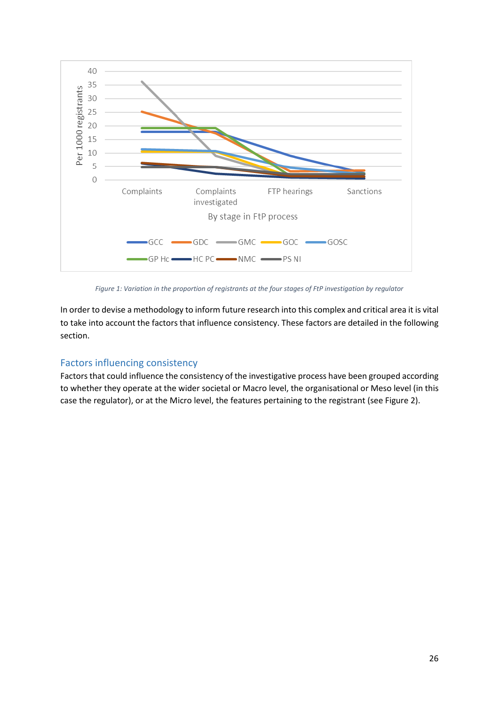

*Figure 1: Variation in the proportion of registrants at the four stages of FtP investigation by regulator*

In order to devise a methodology to inform future research into this complex and critical area it is vital to take into account the factors that influence consistency. These factors are detailed in the following section.

# <span id="page-25-0"></span>Factors influencing consistency

Factors that could influence the consistency of the investigative process have been grouped according to whether they operate at the wider societal or Macro level, the organisational or Meso level (in this case the regulator), or at the Micro level, the features pertaining to the registrant (see Figure 2).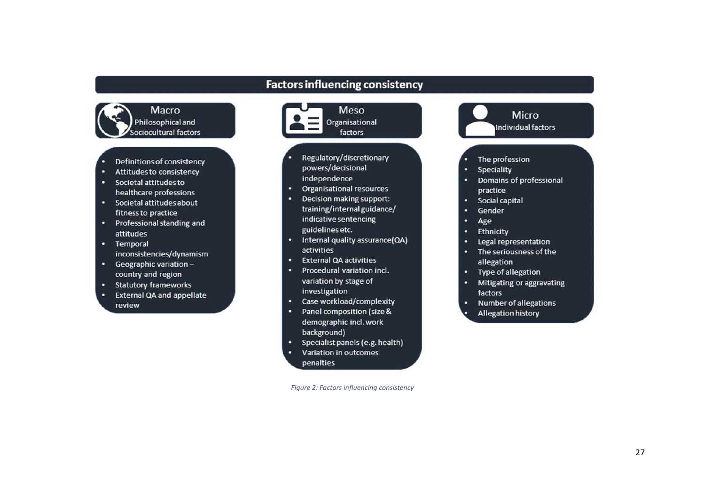# **Factors influencing consistency**



- Definitions of consistency
- Attitudes to consistency ٠
- Societal attitudes to healthcare professions
- Societal attitudes about fitness to practice
- Professional standing and attitudes
- Temporal
- inconsistencies/dynamism
- Geographic variationcountry and region
- Statutory frameworks
- External QA and appellate ٠ review



- Decision making support: training/internal guidance/ indicative sentencing guidelines etc.
- Internal quality assurance(QA) activities
- **External QA activities**
- Procedural variation incl. ٠ variation by stage of investigation
- Case workload/complexity
- Panel composition (size & demographic incl. work background)
- Specialist panels (e.g. health)
- Variation in outcomes penalties

*Figure 2: Factors influencing consistency*



- The profession
- Speciality
- Domains of professional practice
- Social capital ٠
- ٠ Gender
- Age в
- Ethnicity ٠
- Legal representation
- ٠ The seriousness of the allegation
- Type of allegation
- Mitigating or aggravating factors
- Number of allegations ٠ Allegation history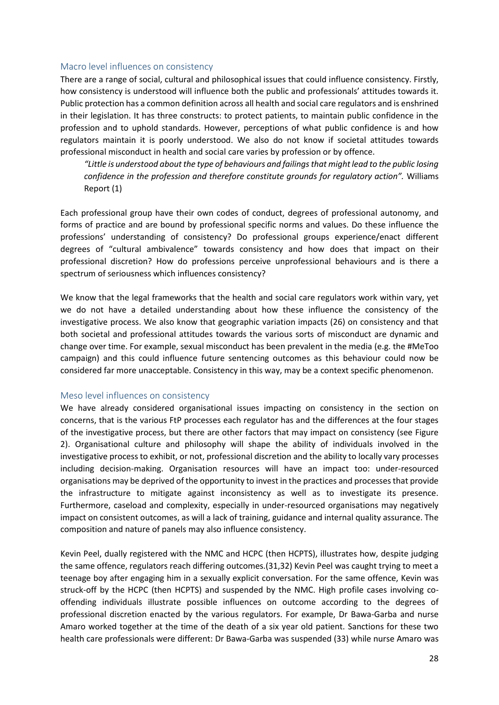#### <span id="page-27-0"></span>Macro level influences on consistency

There are a range of social, cultural and philosophical issues that could influence consistency. Firstly, how consistency is understood will influence both the public and professionals' attitudes towards it. Public protection has a common definition across all health and social care regulators and is enshrined in their legislation. It has three constructs: to protect patients, to maintain public confidence in the profession and to uphold standards. However, perceptions of what public confidence is and how regulators maintain it is poorly understood. We also do not know if societal attitudes towards professional misconduct in health and social care varies by profession or by offence.

*"Little is understood about the type of behaviours and failings that might lead to the public losing confidence in the profession and therefore constitute grounds for regulatory action".* Williams Report (1)

Each professional group have their own codes of conduct, degrees of professional autonomy, and forms of practice and are bound by professional specific norms and values. Do these influence the professions' understanding of consistency? Do professional groups experience/enact different degrees of "cultural ambivalence" towards consistency and how does that impact on their professional discretion? How do professions perceive unprofessional behaviours and is there a spectrum of seriousness which influences consistency?

We know that the legal frameworks that the health and social care regulators work within vary, yet we do not have a detailed understanding about how these influence the consistency of the investigative process. We also know that geographic variation impacts (26) on consistency and that both societal and professional attitudes towards the various sorts of misconduct are dynamic and change over time. For example, sexual misconduct has been prevalent in the media (e.g. the #MeToo campaign) and this could influence future sentencing outcomes as this behaviour could now be considered far more unacceptable. Consistency in this way, may be a context specific phenomenon.

#### <span id="page-27-1"></span>Meso level influences on consistency

We have already considered organisational issues impacting on consistency in the section on concerns, that is the various FtP processes each regulator has and the differences at the four stages of the investigative process, but there are other factors that may impact on consistency (see Figure 2). Organisational culture and philosophy will shape the ability of individuals involved in the investigative process to exhibit, or not, professional discretion and the ability to locally vary processes including decision-making. Organisation resources will have an impact too: under-resourced organisations may be deprived of the opportunity to invest in the practices and processes that provide the infrastructure to mitigate against inconsistency as well as to investigate its presence. Furthermore, caseload and complexity, especially in under-resourced organisations may negatively impact on consistent outcomes, as will a lack of training, guidance and internal quality assurance. The composition and nature of panels may also influence consistency.

Kevin Peel, dually registered with the NMC and HCPC (then HCPTS), illustrates how, despite judging the same offence, regulators reach differing outcomes.(31,32) Kevin Peel was caught trying to meet a teenage boy after engaging him in a sexually explicit conversation. For the same offence, Kevin was struck-off by the HCPC (then HCPTS) and suspended by the NMC. High profile cases involving cooffending individuals illustrate possible influences on outcome according to the degrees of professional discretion enacted by the various regulators. For example, Dr Bawa-Garba and nurse Amaro worked together at the time of the death of a six year old patient. Sanctions for these two health care professionals were different: Dr Bawa-Garba was suspended (33) while nurse Amaro was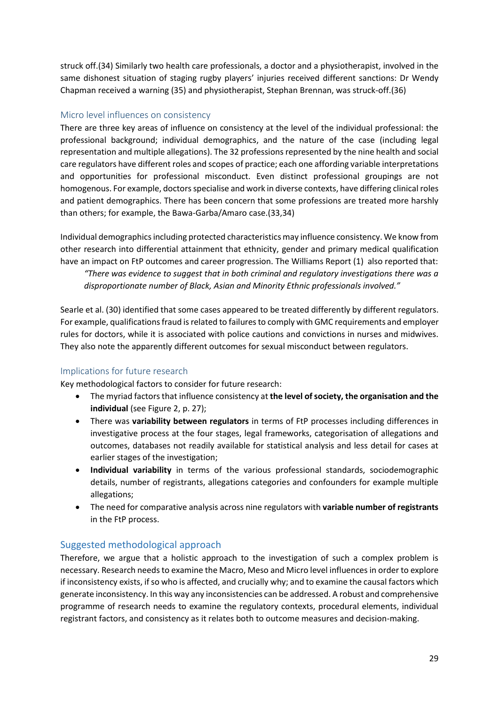struck off.(34) Similarly two health care professionals, a doctor and a physiotherapist, involved in the same dishonest situation of staging rugby players' injuries received different sanctions: Dr Wendy Chapman received a warning (35) and physiotherapist, Stephan Brennan, was struck-off.(36)

# <span id="page-28-0"></span>Micro level influences on consistency

There are three key areas of influence on consistency at the level of the individual professional: the professional background; individual demographics, and the nature of the case (including legal representation and multiple allegations). The 32 professions represented by the nine health and social care regulators have different roles and scopes of practice; each one affording variable interpretations and opportunities for professional misconduct. Even distinct professional groupings are not homogenous. For example, doctors specialise and work in diverse contexts, have differing clinical roles and patient demographics. There has been concern that some professions are treated more harshly than others; for example, the Bawa-Garba/Amaro case.(33,34)

Individual demographics including protected characteristics may influence consistency. We know from other research into differential attainment that ethnicity, gender and primary medical qualification have an impact on FtP outcomes and career progression. The Williams Report (1) also reported that: *"There was evidence to suggest that in both criminal and regulatory investigations there was a disproportionate number of Black, Asian and Minority Ethnic professionals involved."*

Searle et al. (30) identified that some cases appeared to be treated differently by different regulators. For example, qualifications fraud is related to failures to comply with GMC requirements and employer rules for doctors, while it is associated with police cautions and convictions in nurses and midwives. They also note the apparently different outcomes for sexual misconduct between regulators.

# <span id="page-28-1"></span>Implications for future research

Key methodological factors to consider for future research:

- The myriad factors that influence consistency at **the level of society, the organisation and the individual** (see Figure 2, p. 27);
- There was **variability between regulators** in terms of FtP processes including differences in investigative process at the four stages, legal frameworks, categorisation of allegations and outcomes, databases not readily available for statistical analysis and less detail for cases at earlier stages of the investigation;
- **Individual variability** in terms of the various professional standards, sociodemographic details, number of registrants, allegations categories and confounders for example multiple allegations;
- The need for comparative analysis across nine regulators with **variable number of registrants** in the FtP process.

# <span id="page-28-2"></span>Suggested methodological approach

Therefore, we argue that a holistic approach to the investigation of such a complex problem is necessary. Research needs to examine the Macro, Meso and Micro level influences in order to explore if inconsistency exists, if so who is affected, and crucially why; and to examine the causal factors which generate inconsistency. In this way any inconsistencies can be addressed. A robust and comprehensive programme of research needs to examine the regulatory contexts, procedural elements, individual registrant factors, and consistency as it relates both to outcome measures and decision-making.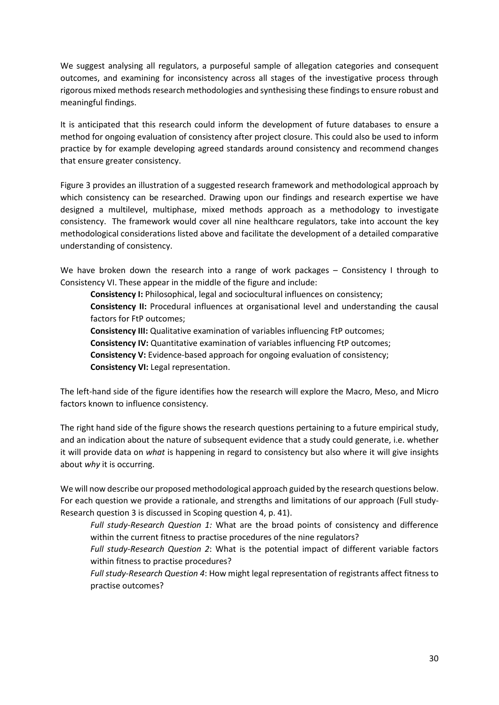We suggest analysing all regulators, a purposeful sample of allegation categories and consequent outcomes, and examining for inconsistency across all stages of the investigative process through rigorous mixed methods research methodologies and synthesising these findings to ensure robust and meaningful findings.

It is anticipated that this research could inform the development of future databases to ensure a method for ongoing evaluation of consistency after project closure. This could also be used to inform practice by for example developing agreed standards around consistency and recommend changes that ensure greater consistency.

Figure 3 provides an illustration of a suggested research framework and methodological approach by which consistency can be researched. Drawing upon our findings and research expertise we have designed a multilevel, multiphase, mixed methods approach as a methodology to investigate consistency. The framework would cover all nine healthcare regulators, take into account the key methodological considerations listed above and facilitate the development of a detailed comparative understanding of consistency.

We have broken down the research into a range of work packages – Consistency I through to Consistency VI. These appear in the middle of the figure and include:

**Consistency I:** Philosophical, legal and sociocultural influences on consistency; **Consistency II:** Procedural influences at organisational level and understanding the causal factors for FtP outcomes;

**Consistency III:** Qualitative examination of variables influencing FtP outcomes; **Consistency IV:** Quantitative examination of variables influencing FtP outcomes; **Consistency V:** Evidence-based approach for ongoing evaluation of consistency; **Consistency VI:** Legal representation.

The left-hand side of the figure identifies how the research will explore the Macro, Meso, and Micro factors known to influence consistency.

The right hand side of the figure shows the research questions pertaining to a future empirical study, and an indication about the nature of subsequent evidence that a study could generate, i.e. whether it will provide data on *what* is happening in regard to consistency but also where it will give insights about *why* it is occurring.

We will now describe our proposed methodological approach guided by the research questions below. For each question we provide a rationale, and strengths and limitations of our approach (Full study-Research question 3 is discussed in Scoping question 4, p. 41).

*Full study-Research Question 1:* What are the broad points of consistency and difference within the current fitness to practise procedures of the nine regulators?

*Full study-Research Question 2*: What is the potential impact of different variable factors within fitness to practise procedures?

*Full study-Research Question 4*: How might legal representation of registrants affect fitness to practise outcomes?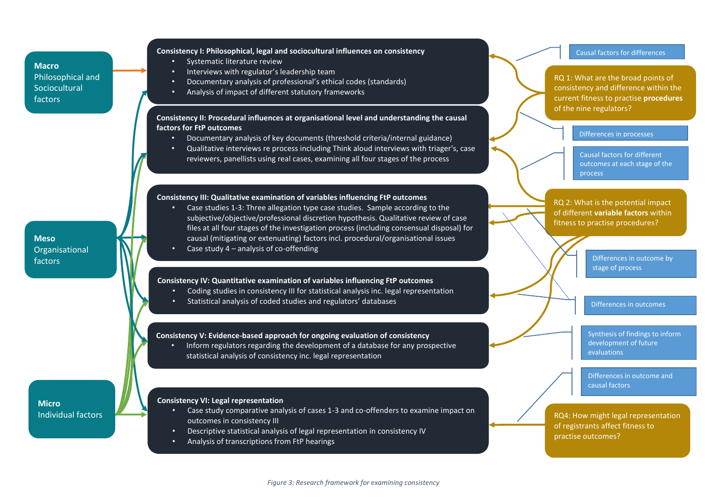## **Macro** Philosophical and Sociocultural factors

#### **Consistency I: Philosophical, legal and sociocultural influences on consistency**

- Systematic literature review
- Interviews with regulator's leadership team
- Documentary analysis of professional's ethical codes (standards)
- Analysis of impact of different statutory frameworks

**Consistency II: Procedural influences at organisational level and understanding the causal factors for FtP outcomes**

- Documentary analysis of key documents (threshold criteria/internal guidance)
- Qualitative interviews re process including Think aloud interviews with triager's, case reviewers, panellists using real cases, examining all four stages of the process

#### **Consistency III: Qualitative examination of variables influencing FtP outcomes**

- Case studies 1-3: Three allegation type case studies. Sample according to the subjective/objective/professional discretion hypothesis. Qualitative review of case files at all four stages of the investigation process (including consensual disposal) for causal (mitigating or extenuating) factors incl. procedural/organisational issues
	- Case study  $4$  analysis of co-offending

#### **Consistency IV: Quantitative examination of variables influencing FtP outcomes**

- Coding studies in consistency III for statistical analysis inc. legal representation
- Statistical analysis of coded studies and regulators' databases

#### **Consistency V: Evidence-based approach for ongoing evaluation of consistency**

• Inform regulators regarding the development of a database for any prospective statistical analysis of consistency inc. legal representation

#### **Micro** Individual factors

**Meso**

factors

Organisational

#### **Consistency VI: Legal representation**

- Case study comparative analysis of cases 1-3 and co-offenders to examine impact on outcomes in consistency III
- Descriptive statistical analysis of legal representation in consistency IV
- Analysis of transcriptions from FtP hearings



consistency and difference within the current fitness to practise **procedures** of the nine regulators?

Causal factors for differences

Differences in processes

Causal factors for different outcomes at each stage of the process

RQ 2: What is the potential impact of different **variable factors** within fitness to practise procedures?

> Differences in outcome by stage of process

Differences in outcomes

Synthesis of findings to inform development of future evaluations

Differences in outcome and causal factors

RQ4: How might legal representation of registrants affect fitness to practise outcomes?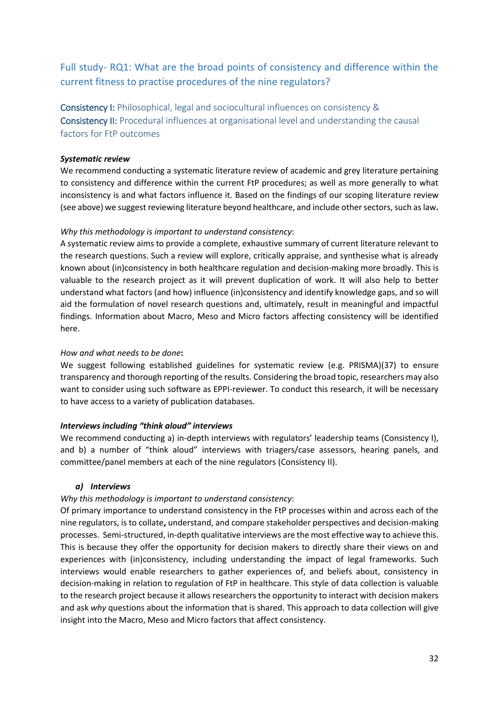# <span id="page-31-0"></span>Full study- RQ1: What are the broad points of consistency and difference within the current fitness to practise procedures of the nine regulators?

<span id="page-31-2"></span><span id="page-31-1"></span>Consistency I: Philosophical, legal and sociocultural influences on consistency & Consistency II: Procedural influences at organisational level and understanding the causal factors for FtP outcomes

### *Systematic review*

We recommend conducting a systematic literature review of academic and grey literature pertaining to consistency and difference within the current FtP procedures; as well as more generally to what inconsistency is and what factors influence it. Based on the findings of our scoping literature review (see above) we suggest reviewing literature beyond healthcare, and include other sectors, such as law**.**

### *Why this methodology is important to understand consistency*:

A systematic review aims to provide a complete, exhaustive summary of current literature relevant to the research questions. Such a review will explore, critically appraise, and synthesise what is already known about (in)consistency in both healthcare regulation and decision-making more broadly. This is valuable to the research project as it will prevent duplication of work. It will also help to better understand what factors (and how) influence (in)consistency and identify knowledge gaps, and so will aid the formulation of novel research questions and, ultimately, result in meaningful and impactful findings. Information about Macro, Meso and Micro factors affecting consistency will be identified here.

### *How and what needs to be done***:**

We suggest following established guidelines for systematic review (e.g. PRISMA)(37) to ensure transparency and thorough reporting of the results. Considering the broad topic, researchers may also want to consider using such software as EPPI-reviewer. To conduct this research, it will be necessary to have access to a variety of publication databases.

# *Interviews including "think aloud" interviews*

We recommend conducting a) in-depth interviews with regulators' leadership teams (Consistency I), and b) a number of "think aloud" interviews with triagers/case assessors, hearing panels, and committee/panel members at each of the nine regulators (Consistency II).

#### *a) Interviews*

# *Why this methodology is important to understand consistency*:

Of primary importance to understand consistency in the FtP processes within and across each of the nine regulators, is to collate**,** understand, and compare stakeholder perspectives and decision-making processes. Semi-structured, in-depth qualitative interviews are the most effective way to achieve this. This is because they offer the opportunity for decision makers to directly share their views on and experiences with (in)consistency, including understanding the impact of legal frameworks. Such interviews would enable researchers to gather experiences of, and beliefs about, consistency in decision-making in relation to regulation of FtP in healthcare. This style of data collection is valuable to the research project because it allows researchers the opportunity to interact with decision makers and ask *why* questions about the information that is shared. This approach to data collection will give insight into the Macro, Meso and Micro factors that affect consistency.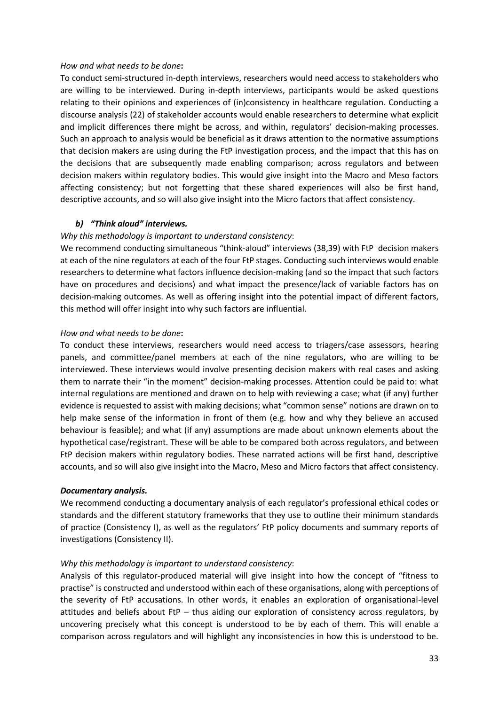#### *How and what needs to be done***:**

To conduct semi-structured in-depth interviews, researchers would need access to stakeholders who are willing to be interviewed. During in-depth interviews, participants would be asked questions relating to their opinions and experiences of (in)consistency in healthcare regulation. Conducting a discourse analysis (22) of stakeholder accounts would enable researchers to determine what explicit and implicit differences there might be across, and within, regulators' decision-making processes. Such an approach to analysis would be beneficial as it draws attention to the normative assumptions that decision makers are using during the FtP investigation process, and the impact that this has on the decisions that are subsequently made enabling comparison; across regulators and between decision makers within regulatory bodies. This would give insight into the Macro and Meso factors affecting consistency; but not forgetting that these shared experiences will also be first hand, descriptive accounts, and so will also give insight into the Micro factors that affect consistency.

#### *b) "Think aloud" interviews.*

### *Why this methodology is important to understand consistency*:

We recommend conducting simultaneous "think-aloud" interviews (38,39) with FtP decision makers at each of the nine regulators at each of the four FtP stages. Conducting such interviews would enable researchers to determine what factors influence decision-making (and so the impact that such factors have on procedures and decisions) and what impact the presence/lack of variable factors has on decision-making outcomes. As well as offering insight into the potential impact of different factors, this method will offer insight into why such factors are influential.

### *How and what needs to be done***:**

To conduct these interviews, researchers would need access to triagers/case assessors, hearing panels, and committee/panel members at each of the nine regulators, who are willing to be interviewed. These interviews would involve presenting decision makers with real cases and asking them to narrate their "in the moment" decision-making processes. Attention could be paid to: what internal regulations are mentioned and drawn on to help with reviewing a case; what (if any) further evidence is requested to assist with making decisions; what "common sense" notions are drawn on to help make sense of the information in front of them (e.g. how and why they believe an accused behaviour is feasible); and what (if any) assumptions are made about unknown elements about the hypothetical case/registrant. These will be able to be compared both across regulators, and between FtP decision makers within regulatory bodies. These narrated actions will be first hand, descriptive accounts, and so will also give insight into the Macro, Meso and Micro factors that affect consistency.

#### *Documentary analysis.*

We recommend conducting a documentary analysis of each regulator's professional ethical codes or standards and the different statutory frameworks that they use to outline their minimum standards of practice (Consistency I), as well as the regulators' FtP policy documents and summary reports of investigations (Consistency II).

# *Why this methodology is important to understand consistency*:

Analysis of this regulator-produced material will give insight into how the concept of "fitness to practise" is constructed and understood within each of these organisations, along with perceptions of the severity of FtP accusations. In other words, it enables an exploration of organisational-level attitudes and beliefs about FtP – thus aiding our exploration of consistency across regulators, by uncovering precisely what this concept is understood to be by each of them. This will enable a comparison across regulators and will highlight any inconsistencies in how this is understood to be.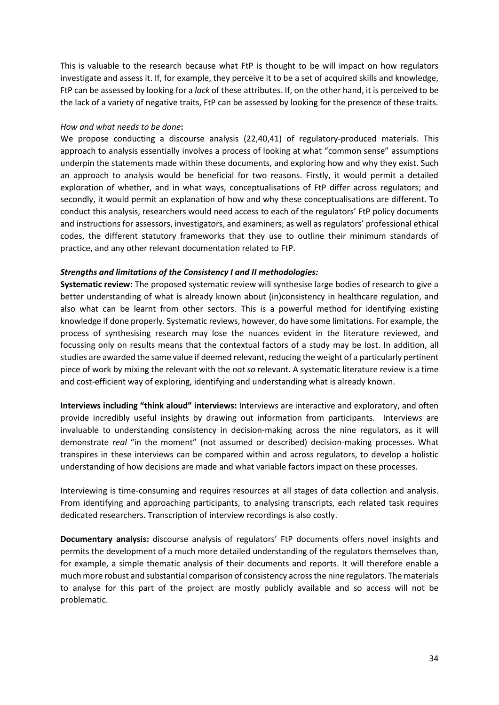This is valuable to the research because what FtP is thought to be will impact on how regulators investigate and assess it. If, for example, they perceive it to be a set of acquired skills and knowledge, FtP can be assessed by looking for a *lack* of these attributes. If, on the other hand, it is perceived to be the lack of a variety of negative traits, FtP can be assessed by looking for the presence of these traits.

#### *How and what needs to be done***:**

We propose conducting a discourse analysis (22,40,41) of regulatory-produced materials. This approach to analysis essentially involves a process of looking at what "common sense" assumptions underpin the statements made within these documents, and exploring how and why they exist. Such an approach to analysis would be beneficial for two reasons. Firstly, it would permit a detailed exploration of whether, and in what ways, conceptualisations of FtP differ across regulators; and secondly, it would permit an explanation of how and why these conceptualisations are different. To conduct this analysis, researchers would need access to each of the regulators' FtP policy documents and instructions for assessors, investigators, and examiners; as well as regulators' professional ethical codes, the different statutory frameworks that they use to outline their minimum standards of practice, and any other relevant documentation related to FtP.

#### *Strengths and limitations of the Consistency I and II methodologies:*

**Systematic review:** The proposed systematic review will synthesise large bodies of research to give a better understanding of what is already known about (in)consistency in healthcare regulation, and also what can be learnt from other sectors. This is a powerful method for identifying existing knowledge if done properly. Systematic reviews, however, do have some limitations. For example, the process of synthesising research may lose the nuances evident in the literature reviewed, and focussing only on results means that the contextual factors of a study may be lost. In addition, all studies are awarded the same value if deemed relevant, reducing the weight of a particularly pertinent piece of work by mixing the relevant with the *not so* relevant. A systematic literature review is a time and cost-efficient way of exploring, identifying and understanding what is already known.

**Interviews including "think aloud" interviews:** Interviews are interactive and exploratory, and often provide incredibly useful insights by drawing out information from participants. Interviews are invaluable to understanding consistency in decision-making across the nine regulators, as it will demonstrate *real* "in the moment" (not assumed or described) decision-making processes. What transpires in these interviews can be compared within and across regulators, to develop a holistic understanding of how decisions are made and what variable factors impact on these processes.

Interviewing is time-consuming and requires resources at all stages of data collection and analysis. From identifying and approaching participants, to analysing transcripts, each related task requires dedicated researchers. Transcription of interview recordings is also costly.

**Documentary analysis:** discourse analysis of regulators' FtP documents offers novel insights and permits the development of a much more detailed understanding of the regulators themselves than, for example, a simple thematic analysis of their documents and reports. It will therefore enable a much more robust and substantial comparison of consistency across the nine regulators. The materials to analyse for this part of the project are mostly publicly available and so access will not be problematic.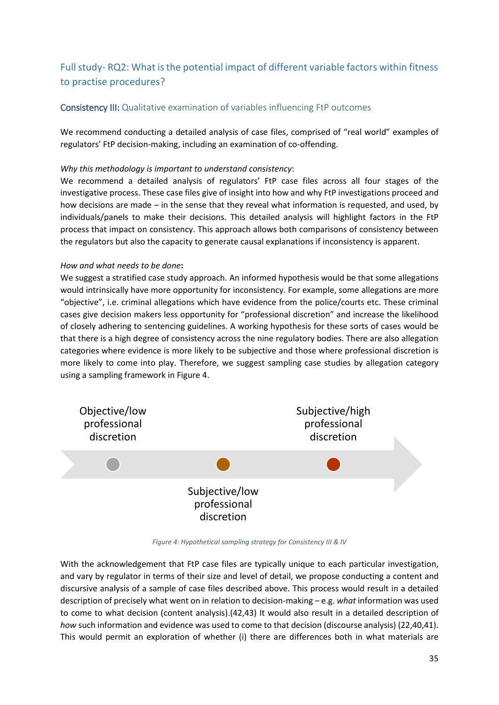# <span id="page-34-0"></span>Full study- RQ2: What is the potential impact of different variable factors within fitness to practise procedures?

# <span id="page-34-1"></span>Consistency III: Qualitative examination of variables influencing FtP outcomes

We recommend conducting a detailed analysis of case files, comprised of "real world" examples of regulators' FtP decision-making, including an examination of co-offending.

## *Why this methodology is important to understand consistency*:

We recommend a detailed analysis of regulators' FtP case files across all four stages of the investigative process. These case files give of insight into how and why FtP investigations proceed and how decisions are made – in the sense that they reveal what information is requested, and used, by individuals/panels to make their decisions. This detailed analysis will highlight factors in the FtP process that impact on consistency. This approach allows both comparisons of consistency between the regulators but also the capacity to generate causal explanations if inconsistency is apparent.

### *How and what needs to be done***:**

We suggest a stratified case study approach. An informed hypothesis would be that some allegations would intrinsically have more opportunity for inconsistency. For example, some allegations are more "objective", i.e. criminal allegations which have evidence from the police/courts etc. These criminal cases give decision makers less opportunity for "professional discretion" and increase the likelihood of closely adhering to sentencing guidelines. A working hypothesis for these sorts of cases would be that there is a high degree of consistency across the nine regulatory bodies. There are also allegation categories where evidence is more likely to be subjective and those where professional discretion is more likely to come into play. Therefore, we suggest sampling case studies by allegation category using a sampling framework in Figure 4.



*Figure 4: Hypothetical sampling strategy for Consistency III & IV*

With the acknowledgement that FtP case files are typically unique to each particular investigation, and vary by regulator in terms of their size and level of detail, we propose conducting a content and discursive analysis of a sample of case files described above. This process would result in a detailed description of precisely what went on in relation to decision-making – e.g. *what* information was used to come to what decision (content analysis).(42,43) It would also result in a detailed description of *how* such information and evidence was used to come to that decision (discourse analysis) (22,40,41). This would permit an exploration of whether (i) there are differences both in what materials are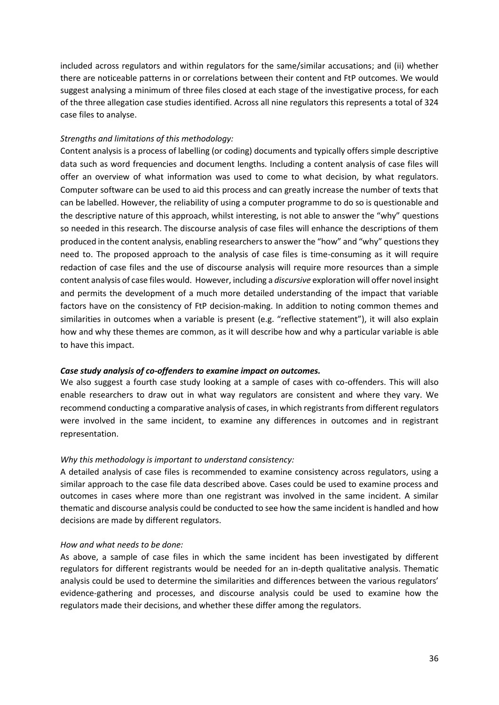included across regulators and within regulators for the same/similar accusations; and (ii) whether there are noticeable patterns in or correlations between their content and FtP outcomes. We would suggest analysing a minimum of three files closed at each stage of the investigative process, for each of the three allegation case studies identified. Across all nine regulators this represents a total of 324 case files to analyse.

#### *Strengths and limitations of this methodology:*

Content analysis is a process of labelling (or coding) documents and typically offers simple descriptive data such as word frequencies and document lengths. Including a content analysis of case files will offer an overview of what information was used to come to what decision, by what regulators. Computer software can be used to aid this process and can greatly increase the number of texts that can be labelled. However, the reliability of using a computer programme to do so is questionable and the descriptive nature of this approach, whilst interesting, is not able to answer the "why" questions so needed in this research. The discourse analysis of case files will enhance the descriptions of them produced in the content analysis, enabling researchers to answer the "how" and "why" questions they need to. The proposed approach to the analysis of case files is time-consuming as it will require redaction of case files and the use of discourse analysis will require more resources than a simple content analysis of case files would. However, including a *discursive* exploration will offer novel insight and permits the development of a much more detailed understanding of the impact that variable factors have on the consistency of FtP decision-making. In addition to noting common themes and similarities in outcomes when a variable is present (e.g. "reflective statement"), it will also explain how and why these themes are common, as it will describe how and why a particular variable is able to have this impact.

#### *Case study analysis of co-offenders to examine impact on outcomes.*

We also suggest a fourth case study looking at a sample of cases with co-offenders. This will also enable researchers to draw out in what way regulators are consistent and where they vary. We recommend conducting a comparative analysis of cases, in which registrants from different regulators were involved in the same incident, to examine any differences in outcomes and in registrant representation.

#### *Why this methodology is important to understand consistency:*

A detailed analysis of case files is recommended to examine consistency across regulators, using a similar approach to the case file data described above. Cases could be used to examine process and outcomes in cases where more than one registrant was involved in the same incident. A similar thematic and discourse analysis could be conducted to see how the same incident is handled and how decisions are made by different regulators.

#### *How and what needs to be done:*

As above, a sample of case files in which the same incident has been investigated by different regulators for different registrants would be needed for an in-depth qualitative analysis. Thematic analysis could be used to determine the similarities and differences between the various regulators' evidence-gathering and processes, and discourse analysis could be used to examine how the regulators made their decisions, and whether these differ among the regulators.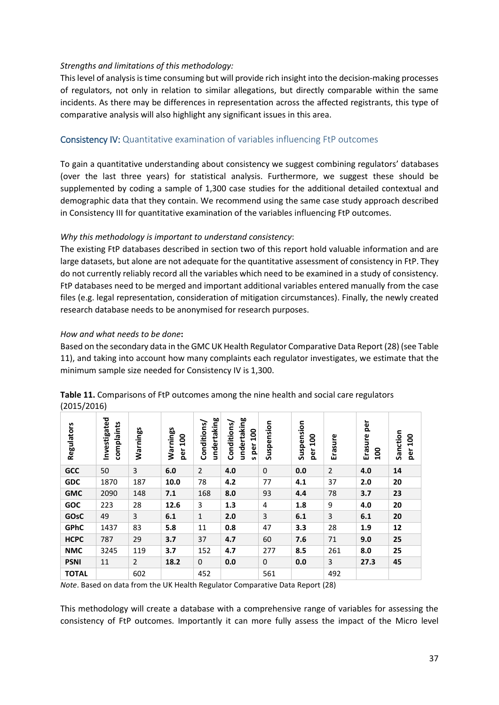### *Strengths and limitations of this methodology:*

This level of analysis is time consuming but will provide rich insight into the decision-making processes of regulators, not only in relation to similar allegations, but directly comparable within the same incidents. As there may be differences in representation across the affected registrants, this type of comparative analysis will also highlight any significant issues in this area.

# <span id="page-36-0"></span>Consistency IV: Quantitative examination of variables influencing FtP outcomes

To gain a quantitative understanding about consistency we suggest combining regulators' databases (over the last three years) for statistical analysis. Furthermore, we suggest these should be supplemented by coding a sample of 1,300 case studies for the additional detailed contextual and demographic data that they contain. We recommend using the same case study approach described in Consistency III for quantitative examination of the variables influencing FtP outcomes.

# *Why this methodology is important to understand consistency*:

The existing FtP databases described in section two of this report hold valuable information and are large datasets, but alone are not adequate for the quantitative assessment of consistency in FtP. They do not currently reliably record all the variables which need to be examined in a study of consistency. FtP databases need to be merged and important additional variables entered manually from the case files (e.g. legal representation, consideration of mitigation circumstances). Finally, the newly created research database needs to be anonymised for research purposes.

### *How and what needs to be done***:**

Based on the secondary data in the GMC UK Health Regulator Comparative Data Report (28) (see Table 11), and taking into account how many complaints each regulator investigates, we estimate that the minimum sample size needed for Consistency IV is 1,300.

| <b>Regulators</b> | Investigated<br>complaints | Warnings       | Warnings<br>$\frac{8}{10}$<br>per | undertaking<br>Conditions/ | undertaking<br>Conditions,<br>100<br>per<br><b>S</b> | Suspension   | Suspension<br>$\overline{a}$<br>per | Erasure        | per<br>Erasure<br>$\overline{100}$ | Sanction<br>100<br>per |
|-------------------|----------------------------|----------------|-----------------------------------|----------------------------|------------------------------------------------------|--------------|-------------------------------------|----------------|------------------------------------|------------------------|
| GCC               | 50                         | 3              | 6.0                               | 2                          | 4.0                                                  | $\mathbf{0}$ | 0.0                                 | $\overline{2}$ | 4.0                                | 14                     |
| <b>GDC</b>        | 1870                       | 187            | 10.0                              | 78                         | 4.2                                                  | 77           | 4.1                                 | 37             | 2.0                                | 20                     |
| <b>GMC</b>        | 2090                       | 148            | 7.1                               | 168                        | 8.0                                                  | 93           | 4.4                                 | 78             | 3.7                                | 23                     |
| <b>GOC</b>        | 223                        | 28             | 12.6                              | 3                          | 1.3                                                  | 4            | 1.8                                 | 9              | 4.0                                | 20                     |
| <b>GOsC</b>       | 49                         | 3              | 6.1                               | $\mathbf{1}$               | 2.0                                                  | 3            | 6.1                                 | 3              | 6.1                                | 20                     |
| <b>GPhC</b>       | 1437                       | 83             | 5.8                               | 11                         | 0.8                                                  | 47           | 3.3                                 | 28             | 1.9                                | 12                     |
| <b>HCPC</b>       | 787                        | 29             | 3.7                               | 37                         | 4.7                                                  | 60           | 7.6                                 | 71             | 9.0                                | 25                     |
| <b>NMC</b>        | 3245                       | 119            | 3.7                               | 152                        | 4.7                                                  | 277          | 8.5                                 | 261            | 8.0                                | 25                     |
| <b>PSNI</b>       | 11                         | $\overline{2}$ | 18.2                              | 0                          | 0.0                                                  | 0            | 0.0                                 | 3              | 27.3                               | 45                     |
| <b>TOTAL</b>      |                            | 602            |                                   | 452                        |                                                      | 561          |                                     | 492            |                                    |                        |

| Table 11. Comparisons of FtP outcomes among the nine health and social care regulators |  |
|----------------------------------------------------------------------------------------|--|
| (2015/2016)                                                                            |  |

*Note*. Based on data from the UK Health Regulator Comparative Data Report (28)

This methodology will create a database with a comprehensive range of variables for assessing the consistency of FtP outcomes. Importantly it can more fully assess the impact of the Micro level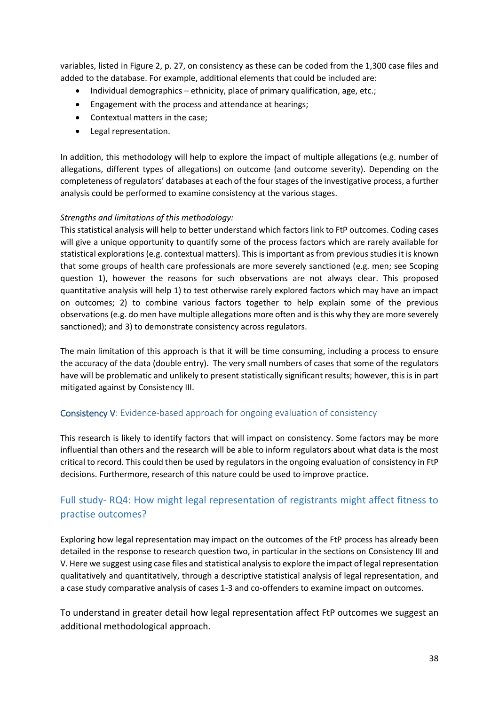variables, listed in Figure 2, p. 27, on consistency as these can be coded from the 1,300 case files and added to the database. For example, additional elements that could be included are:

- Individual demographics ethnicity, place of primary qualification, age, etc.;
- Engagement with the process and attendance at hearings;
- Contextual matters in the case;
- Legal representation.

In addition, this methodology will help to explore the impact of multiple allegations (e.g. number of allegations, different types of allegations) on outcome (and outcome severity). Depending on the completeness of regulators' databases at each of the four stages of the investigative process, a further analysis could be performed to examine consistency at the various stages.

# *Strengths and limitations of this methodology:*

This statistical analysis will help to better understand which factors link to FtP outcomes. Coding cases will give a unique opportunity to quantify some of the process factors which are rarely available for statistical explorations (e.g. contextual matters). This is important as from previous studies it is known that some groups of health care professionals are more severely sanctioned (e.g. men; see Scoping question 1), however the reasons for such observations are not always clear. This proposed quantitative analysis will help 1) to test otherwise rarely explored factors which may have an impact on outcomes; 2) to combine various factors together to help explain some of the previous observations (e.g. do men have multiple allegations more often and is this why they are more severely sanctioned); and 3) to demonstrate consistency across regulators.

The main limitation of this approach is that it will be time consuming, including a process to ensure the accuracy of the data (double entry). The very small numbers of cases that some of the regulators have will be problematic and unlikely to present statistically significant results; however, this is in part mitigated against by Consistency III.

# <span id="page-37-0"></span>Consistency V: Evidence-based approach for ongoing evaluation of consistency

This research is likely to identify factors that will impact on consistency. Some factors may be more influential than others and the research will be able to inform regulators about what data is the most critical to record. This could then be used by regulators in the ongoing evaluation of consistency in FtP decisions. Furthermore, research of this nature could be used to improve practice.

# <span id="page-37-1"></span>Full study- RQ4: How might legal representation of registrants might affect fitness to practise outcomes?

Exploring how legal representation may impact on the outcomes of the FtP process has already been detailed in the response to research question two, in particular in the sections on Consistency III and V. Here we suggest using case files and statistical analysis to explore the impact of legal representation qualitatively and quantitatively, through a descriptive statistical analysis of legal representation, and a case study comparative analysis of cases 1-3 and co-offenders to examine impact on outcomes.

To understand in greater detail how legal representation affect FtP outcomes we suggest an additional methodological approach.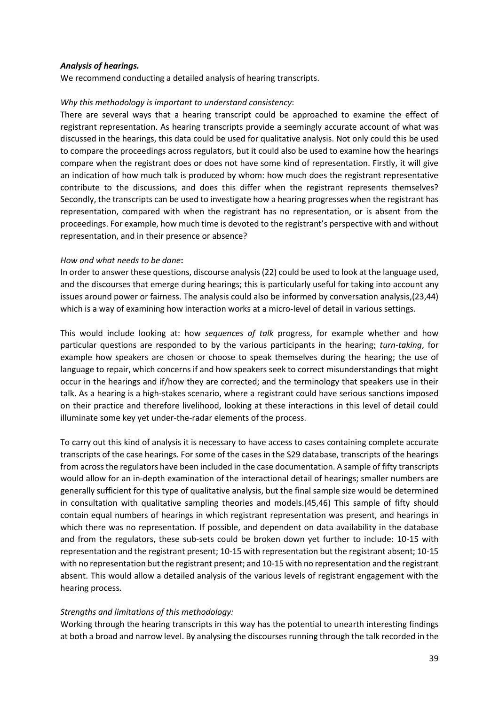#### *Analysis of hearings.*

We recommend conducting a detailed analysis of hearing transcripts.

#### *Why this methodology is important to understand consistency*:

There are several ways that a hearing transcript could be approached to examine the effect of registrant representation. As hearing transcripts provide a seemingly accurate account of what was discussed in the hearings, this data could be used for qualitative analysis. Not only could this be used to compare the proceedings across regulators, but it could also be used to examine how the hearings compare when the registrant does or does not have some kind of representation. Firstly, it will give an indication of how much talk is produced by whom: how much does the registrant representative contribute to the discussions, and does this differ when the registrant represents themselves? Secondly, the transcripts can be used to investigate how a hearing progresses when the registrant has representation, compared with when the registrant has no representation, or is absent from the proceedings. For example, how much time is devoted to the registrant's perspective with and without representation, and in their presence or absence?

#### *How and what needs to be done***:**

In order to answer these questions, discourse analysis(22) could be used to look at the language used, and the discourses that emerge during hearings; this is particularly useful for taking into account any issues around power or fairness. The analysis could also be informed by conversation analysis,(23,44) which is a way of examining how interaction works at a micro-level of detail in various settings.

This would include looking at: how *sequences of talk* progress, for example whether and how particular questions are responded to by the various participants in the hearing; *turn-taking*, for example how speakers are chosen or choose to speak themselves during the hearing; the use of language to repair, which concerns if and how speakers seek to correct misunderstandings that might occur in the hearings and if/how they are corrected; and the terminology that speakers use in their talk. As a hearing is a high-stakes scenario, where a registrant could have serious sanctions imposed on their practice and therefore livelihood, looking at these interactions in this level of detail could illuminate some key yet under-the-radar elements of the process.

To carry out this kind of analysis it is necessary to have access to cases containing complete accurate transcripts of the case hearings. For some of the cases in the S29 database, transcripts of the hearings from across the regulators have been included in the case documentation. A sample of fifty transcripts would allow for an in-depth examination of the interactional detail of hearings; smaller numbers are generally sufficient for this type of qualitative analysis, but the final sample size would be determined in consultation with qualitative sampling theories and models.(45,46) This sample of fifty should contain equal numbers of hearings in which registrant representation was present, and hearings in which there was no representation. If possible, and dependent on data availability in the database and from the regulators, these sub-sets could be broken down yet further to include: 10-15 with representation and the registrant present; 10-15 with representation but the registrant absent; 10-15 with no representation but the registrant present; and 10-15 with no representation and the registrant absent. This would allow a detailed analysis of the various levels of registrant engagement with the hearing process.

#### *Strengths and limitations of this methodology:*

Working through the hearing transcripts in this way has the potential to unearth interesting findings at both a broad and narrow level. By analysing the discourses running through the talk recorded in the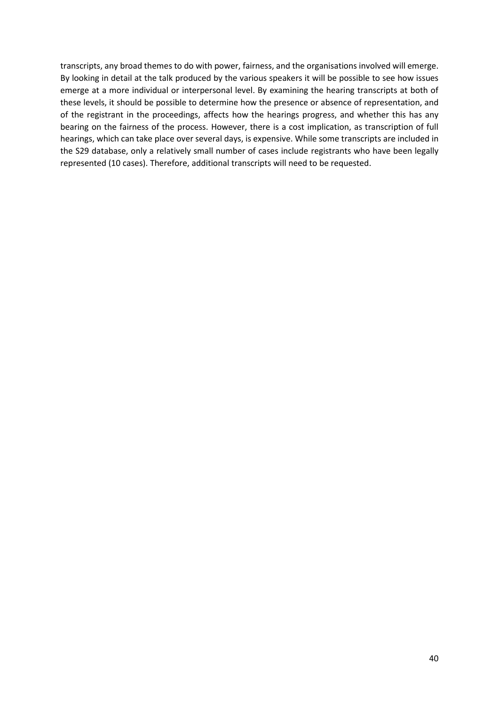transcripts, any broad themes to do with power, fairness, and the organisations involved will emerge. By looking in detail at the talk produced by the various speakers it will be possible to see how issues emerge at a more individual or interpersonal level. By examining the hearing transcripts at both of these levels, it should be possible to determine how the presence or absence of representation, and of the registrant in the proceedings, affects how the hearings progress, and whether this has any bearing on the fairness of the process. However, there is a cost implication, as transcription of full hearings, which can take place over several days, is expensive. While some transcripts are included in the S29 database, only a relatively small number of cases include registrants who have been legally represented (10 cases). Therefore, additional transcripts will need to be requested.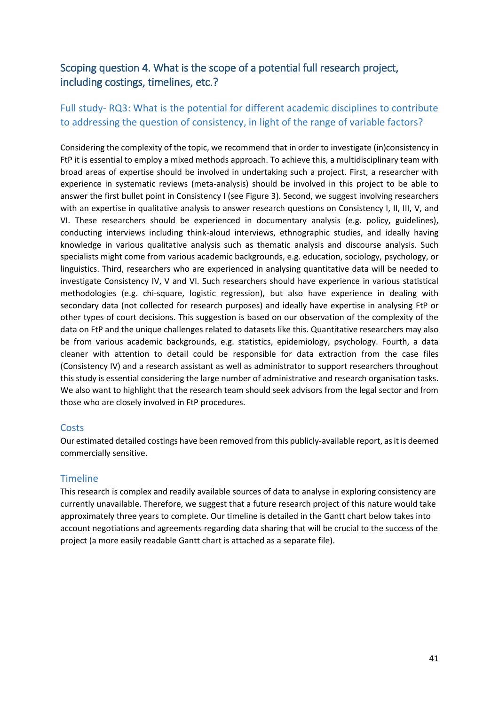# <span id="page-40-0"></span>Scoping question 4. What is the scope of a potential full research project, including costings, timelines, etc.?

# <span id="page-40-1"></span>Full study- RQ3: What is the potential for different academic disciplines to contribute to addressing the question of consistency, in light of the range of variable factors?

Considering the complexity of the topic, we recommend that in order to investigate (in)consistency in FtP it is essential to employ a mixed methods approach. To achieve this, a multidisciplinary team with broad areas of expertise should be involved in undertaking such a project. First, a researcher with experience in systematic reviews (meta-analysis) should be involved in this project to be able to answer the first bullet point in Consistency I (see Figure 3). Second, we suggest involving researchers with an expertise in qualitative analysis to answer research questions on Consistency I, II, III, V, and VI. These researchers should be experienced in documentary analysis (e.g. policy, guidelines), conducting interviews including think-aloud interviews, ethnographic studies, and ideally having knowledge in various qualitative analysis such as thematic analysis and discourse analysis. Such specialists might come from various academic backgrounds, e.g. education, sociology, psychology, or linguistics. Third, researchers who are experienced in analysing quantitative data will be needed to investigate Consistency IV, V and VI. Such researchers should have experience in various statistical methodologies (e.g. chi-square, logistic regression), but also have experience in dealing with secondary data (not collected for research purposes) and ideally have expertise in analysing FtP or other types of court decisions. This suggestion is based on our observation of the complexity of the data on FtP and the unique challenges related to datasets like this. Quantitative researchers may also be from various academic backgrounds, e.g. statistics, epidemiology, psychology. Fourth, a data cleaner with attention to detail could be responsible for data extraction from the case files (Consistency IV) and a research assistant as well as administrator to support researchers throughout this study is essential considering the large number of administrative and research organisation tasks. We also want to highlight that the research team should seek advisors from the legal sector and from those who are closely involved in FtP procedures.

# **Costs**

Our estimated detailed costings have been removed from this publicly-available report, as it is deemed commercially sensitive.

# <span id="page-40-2"></span>**Timeline**

This research is complex and readily available sources of data to analyse in exploring consistency are currently unavailable. Therefore, we suggest that a future research project of this nature would take approximately three years to complete. Our timeline is detailed in the Gantt chart below takes into account negotiations and agreements regarding data sharing that will be crucial to the success of the project (a more easily readable Gantt chart is attached as a separate file).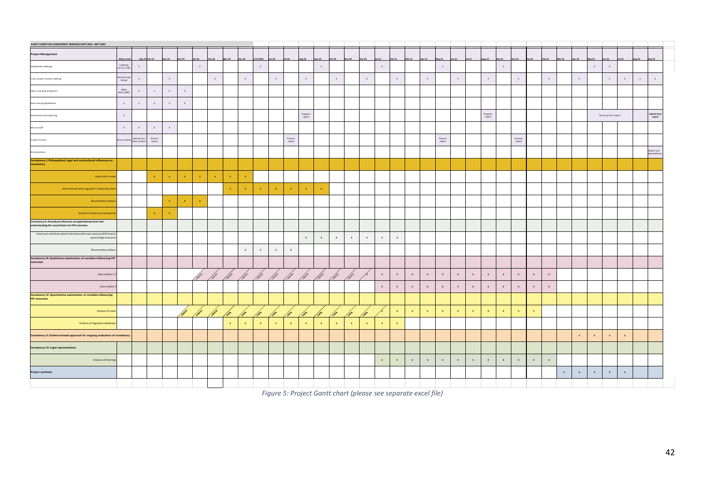| <b>GANTT CHART FOR CONSISTENCY RESEARCH SEPT 2019 - SEPT 2022</b>                                                                |                             |                             |                                                            |              |                           |                |             |                   |              |                |                |                                                                    |                    |              |              |              |                  |                              |                    |                    |                           |                           |              |                           |                    |                           |                                                                    |                           |                |             |              |              |                       |                           |           |                        |
|----------------------------------------------------------------------------------------------------------------------------------|-----------------------------|-----------------------------|------------------------------------------------------------|--------------|---------------------------|----------------|-------------|-------------------|--------------|----------------|----------------|--------------------------------------------------------------------|--------------------|--------------|--------------|--------------|------------------|------------------------------|--------------------|--------------------|---------------------------|---------------------------|--------------|---------------------------|--------------------|---------------------------|--------------------------------------------------------------------|---------------------------|----------------|-------------|--------------|--------------|-----------------------|---------------------------|-----------|------------------------|
| <b>Project Management</b>                                                                                                        | Before start                |                             | Sep-19 Oct-19                                              |              |                           | an.20          | eb-20       | $Mar-20$          | $r-20$       | 5/1/2020       | $Jun-20$       | lul-20                                                             | $4u$ g-20          | Sep-20       | $Oct-20$     | $600 - 20$   | 20 <sub>20</sub> | $n-21$                       | $Feb-21$           | $Mar-21$           |                           | $24 - 21$                 | n.21         | $ul-21$                   | Augs-21            | $Sep-21$                  | $ov-21$                                                            | $tan-22$                  | Feb-22         | Mar-22      | Apr-22       | May-22       | $m-22$                | $Jul-22$                  | $ug - 22$ | Sep-22                 |
| Stakeholder meetings                                                                                                             | Indentify,<br>recruit, TORs | $\mathbf x$                 |                                                            |              |                           | $\,$ $\,$ $\,$ |             |                   |              | $\mathbf{x}$   |                |                                                                    |                    | $\mathbf{x}$ |              |              |                  | $\mathbf{x}$                 |                    |                    |                           | $\mathbf x$               |              |                           |                    | $\mathbf x$               |                                                                    |                           |                |             |              | $\chi$       | $\mathbf x$           |                           |           |                        |
| Cross-project strands meeting                                                                                                    | Review stud<br>design       | $\mathsf X$                 |                                                            | $\chi$       |                           |                | $\chi$      |                   | $\mathbf x$  |                | $\,$ $\,$ $\,$ |                                                                    | $\mathbf{x}$       |              | $\chi$       |              | $\mathbf x$      |                              | $\mathsf x$        |                    | $\chi$                    |                           | $\mathbf x$  |                           | $\mathbf x$        |                           | $\mathbf{x}$                                                       |                           | $\mathbf{x}$ . |             | $\mathbf x$  |              | $\mathbf x$           | $\mathsf{x}$              | $\chi$    | $\mathsf{x}$           |
| Ethics and data protection                                                                                                       | Apply<br>Ethics/R&D         | $\mathbf{x}$                | $\boldsymbol{\mathbf{x}}$                                  | $\chi$       | $\mathsf x$               |                |             |                   |              |                |                |                                                                    |                    |              |              |              |                  |                              |                    |                    |                           |                           |              |                           |                    |                           |                                                                    |                           |                |             |              |              |                       |                           |           |                        |
| Data sharing agreements                                                                                                          | $\mathbf{x}$                | $\mathbf x$                 | $\mathbf x$                                                | $\chi$       | $\mathbf x$               |                |             |                   |              |                |                |                                                                    |                    |              |              |              |                  |                              |                    |                    |                           |                           |              |                           |                    |                           |                                                                    |                           |                |             |              |              |                       |                           |           |                        |
| Governance and reporting                                                                                                         | $\mathbf{x}$                |                             |                                                            |              |                           |                |             |                   |              |                |                |                                                                    | Progress<br>report |              |              |              |                  |                              |                    |                    |                           |                           |              |                           | Progress<br>report |                           |                                                                    |                           |                |             |              |              | Write up final report |                           |           | Submit final<br>report |
| Recruit staff                                                                                                                    | $\mathbf{x}$                | $\mathbf{x}$                | $\mathbf{x}$                                               | $\mathbf{x}$ |                           |                |             |                   |              |                |                |                                                                    |                    |              |              |              |                  |                              |                    |                    |                           |                           |              |                           |                    |                           |                                                                    |                           |                |             |              |              |                       |                           |           |                        |
| Project Finance                                                                                                                  | .<br>Set up syster          | Review cost<br>data systems | $\begin{array}{c} \tt{finance} \\ \tt{report} \end{array}$ |              |                           |                |             |                   |              |                |                | $\begin{array}{c} \mathtt{finance} \\ \mathtt{report} \end{array}$ |                    |              |              |              |                  |                              |                    |                    |                           | finance<br>${\sf report}$ |              |                           |                    |                           | $\begin{array}{c} \mathtt{finance} \\ \mathtt{report} \end{array}$ |                           |                |             |              |              |                       |                           |           |                        |
| Dissemination                                                                                                                    |                             |                             |                                                            |              |                           |                |             |                   |              |                |                |                                                                    |                    |              |              |              |                  |                              |                    |                    |                           |                           |              |                           |                    |                           |                                                                    |                           |                |             |              |              |                       |                           |           | apers and<br>sentatio  |
| Consistency I: Philosophical, legal and sociocultural influences on<br>consistency                                               |                             |                             |                                                            |              |                           |                |             |                   |              |                |                |                                                                    |                    |              |              |              |                  |                              |                    |                    |                           |                           |              |                           |                    |                           |                                                                    |                           |                |             |              |              |                       |                           |           |                        |
| Systematic review                                                                                                                |                             |                             | $\mathbf{x}$                                               | $\mathbf{x}$ | $\boldsymbol{\mathsf{x}}$ | $\mathbf x$    | $\mathbf x$ | $\mathbf{x}$      | $\mathbf{x}$ |                |                |                                                                    |                    |              |              |              |                  |                              |                    |                    |                           |                           |              |                           |                    |                           |                                                                    |                           |                |             |              |              |                       |                           |           |                        |
| Interverviews with regulator's leadership tean                                                                                   |                             |                             |                                                            |              |                           |                |             | $\mathbf{x}$ .    | $\mathbf{x}$ | $\mathbf{x}$   | $\mathbf{x}$   | $\mathbf{x}$                                                       | $\mathbf{x}$       | $\mathbf{x}$ |              |              |                  |                              |                    |                    |                           |                           |              |                           |                    |                           |                                                                    |                           |                |             |              |              |                       |                           |           |                        |
| Documentary analysi                                                                                                              |                             |                             |                                                            | $\mathbf{x}$ | $\mathbf x$               | $\mathbf x$    |             |                   |              |                |                |                                                                    |                    |              |              |              |                  |                              |                    |                    |                           |                           |              |                           |                    |                           |                                                                    |                           |                |             |              |              |                       |                           |           |                        |
| Analysis of statutory frameworks                                                                                                 |                             |                             | $\mathbf{x}$                                               | $\mathbf{x}$ |                           |                |             |                   |              |                |                |                                                                    |                    |              |              |              |                  |                              |                    |                    |                           |                           |              |                           |                    |                           |                                                                    |                           |                |             |              |              |                       |                           |           |                        |
| Consistency II: Procedural influences at organisational level and<br>understanding the causal factors for FtP outcomes           |                             |                             |                                                            |              |                           |                |             |                   |              |                |                |                                                                    |                    |              |              |              |                  |                              |                    |                    |                           |                           |              |                           |                    |                           |                                                                    |                           |                |             |              |              |                       |                           |           |                        |
| Interviews and think aloud interviews with case assessors/FtP teams,<br>panels/legal assesso                                     |                             |                             |                                                            |              |                           |                |             |                   |              |                |                |                                                                    | $\,$ x $\,$        | $\mathbf{x}$ | $\mathbf{x}$ | $\mathbf x$  | $\mathbf x$      | $\mathbf{x}$                 | $\, {\bf x}$       |                    |                           |                           |              |                           |                    |                           |                                                                    |                           |                |             |              |              |                       |                           |           |                        |
| Documentary analysis                                                                                                             |                             |                             |                                                            |              |                           |                |             |                   | $\mathbf x$  | $\,$ $\,$ $\,$ | $\mathbf x$    | $\mathbf x$                                                        |                    |              |              |              |                  |                              |                    |                    |                           |                           |              |                           |                    |                           |                                                                    |                           |                |             |              |              |                       |                           |           |                        |
| $\label{eq:constency} Consistency \; III: Qualitative \; examination \; of \; variables \; influenceing \; {\sf FP} \; outcomes$ |                             |                             |                                                            |              |                           |                |             |                   |              |                |                |                                                                    |                    |              |              |              |                  |                              |                    |                    |                           |                           |              |                           |                    |                           |                                                                    |                           |                |             |              |              |                       |                           |           |                        |
| Case studies 1-3                                                                                                                 |                             |                             |                                                            |              |                           |                |             | <b>CONTROLLED</b> |              |                |                |                                                                    |                    |              |              |              |                  | $\mathbf x$                  | $\,$ x             | $\,$ $\,$          | $\mathbf x$               | $\,$ $\,$ $\,$            | $\mathbf x$  | $\mathbf x$               | $\,$ $\,$ $\,$     | $\mathbf x$               | $\mathbf x$                                                        | $\boldsymbol{\mathsf{x}}$ | $\mathbf{x}$   |             |              |              |                       |                           |           |                        |
| Case studies                                                                                                                     |                             |                             |                                                            |              |                           |                |             |                   |              |                |                |                                                                    |                    |              |              |              |                  | $\mathbf{x}$                 | $\,$ x             | $\pmb{\mathsf{x}}$ | $\mathbf x$               | $\mathbf x$               | $\mathbf x$  | $\mathbf x$               | $\,$ x $\,$        | $\mathbf x$               | $\mathbf x$                                                        | $\mathbf x$               | $\mathbf x$    |             |              |              |                       |                           |           |                        |
| <b>Consistency IV: Quantitative examination of variables influencing</b><br><b>FLP outcomes</b>                                  |                             |                             |                                                            |              |                           |                |             |                   |              |                |                |                                                                    |                    |              |              |              |                  |                              |                    |                    |                           |                           |              |                           |                    |                           |                                                                    |                           |                |             |              |              |                       |                           |           |                        |
| Analysis of case                                                                                                                 |                             |                             |                                                            |              |                           |                |             |                   |              |                |                |                                                                    |                    |              |              |              |                  |                              | $\,$ $\,$ $\,$     | $\mathbf x$        | $\mathbf{x}$              | $\pmb{\times}$            | $\mathbf{x}$ | $\mathbf x$               | $\mathbf{x}$       | $\mathbf{x}$              | $\mathbf{x}$                                                       | $\mathbf{x}$              |                |             |              |              |                       |                           |           |                        |
| Analysis of regulators databases                                                                                                 |                             |                             |                                                            |              |                           |                |             | $\mathbf{x}$      | $\mathbf{x}$ | $\mathbf{x}$   | $\mathbf{x}$   | $\mathbf{x}$                                                       |                    | $\mathbf{x}$ | $\mathbf{x}$ | $\mathbf{x}$ | $\mathbf{x}$     | $\langle \mathbf{x} \rangle$ | $\mathbf{x}$       |                    |                           |                           |              |                           |                    |                           |                                                                    |                           |                |             |              |              |                       |                           |           |                        |
| Consistency V: Evidence-based approach for ongoing evaluation of consistency                                                     |                             |                             |                                                            |              |                           |                |             |                   |              |                |                |                                                                    |                    |              |              |              |                  |                              |                    |                    |                           |                           |              |                           |                    |                           |                                                                    |                           |                |             | $\mathbf x$  | $\mathbf x$  | $\,$ $\,$             | $\boldsymbol{\mathsf{x}}$ |           |                        |
| Consistency VI: Legal representation                                                                                             |                             |                             |                                                            |              |                           |                |             |                   |              |                |                |                                                                    |                    |              |              |              |                  |                              |                    |                    |                           |                           |              |                           |                    |                           |                                                                    |                           |                |             |              |              |                       |                           |           |                        |
| Analysis of hearings                                                                                                             |                             |                             |                                                            |              |                           |                |             |                   |              |                |                |                                                                    |                    |              |              |              |                  | $\mathbf{x}$                 | $\pmb{\mathsf{x}}$ | $\pmb{\mathsf{x}}$ | $\boldsymbol{\mathsf{x}}$ | $\,$ x                    | $\mathbf x$  | $\boldsymbol{\mathsf{x}}$ | $\,$ x $\,$        | $\boldsymbol{\mathsf{x}}$ | $\mathbf x$                                                        | $\mathbf x$               | $\mathbf{x}$   |             |              |              |                       |                           |           |                        |
| <b>Project synthesis</b>                                                                                                         |                             |                             |                                                            |              |                           |                |             |                   |              |                |                |                                                                    |                    |              |              |              |                  |                              |                    |                    |                           |                           |              |                           |                    |                           |                                                                    |                           |                | $\mathbf x$ | $\mathbf{x}$ | $\mathbf{x}$ | $\mathbf x$           | $\mathbf{x}$              |           |                        |
|                                                                                                                                  |                             |                             |                                                            |              |                           |                |             |                   |              |                |                |                                                                    |                    |              |              |              |                  |                              |                    |                    |                           |                           |              |                           |                    |                           |                                                                    |                           |                |             |              |              |                       |                           |           |                        |

*Figure 5: Project Gantt chart (please see separate excel file)*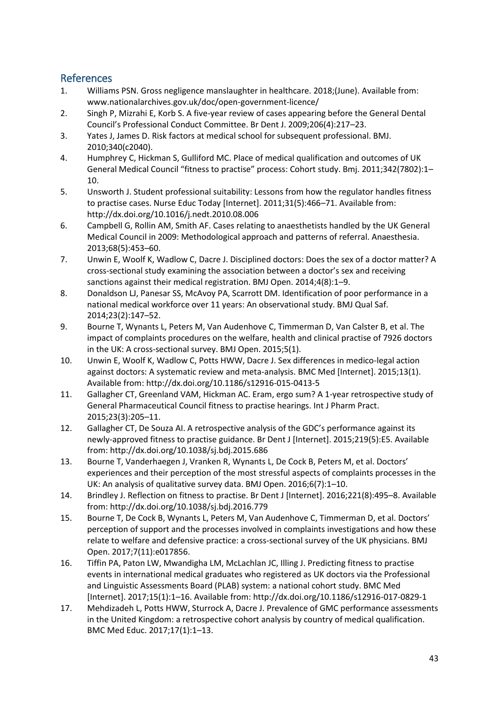# <span id="page-42-0"></span>References

- 1. Williams PSN. Gross negligence manslaughter in healthcare. 2018;(June). Available from: www.nationalarchives.gov.uk/doc/open-government-licence/
- 2. Singh P, Mizrahi E, Korb S. A five-year review of cases appearing before the General Dental Council's Professional Conduct Committee. Br Dent J. 2009;206(4):217–23.
- 3. Yates J, James D. Risk factors at medical school for subsequent professional. BMJ. 2010;340(c2040).
- 4. Humphrey C, Hickman S, Gulliford MC. Place of medical qualification and outcomes of UK General Medical Council "fitness to practise" process: Cohort study. Bmj. 2011;342(7802):1– 10.
- 5. Unsworth J. Student professional suitability: Lessons from how the regulator handles fitness to practise cases. Nurse Educ Today [Internet]. 2011;31(5):466–71. Available from: http://dx.doi.org/10.1016/j.nedt.2010.08.006
- 6. Campbell G, Rollin AM, Smith AF. Cases relating to anaesthetists handled by the UK General Medical Council in 2009: Methodological approach and patterns of referral. Anaesthesia. 2013;68(5):453–60.
- 7. Unwin E, Woolf K, Wadlow C, Dacre J. Disciplined doctors: Does the sex of a doctor matter? A cross-sectional study examining the association between a doctor's sex and receiving sanctions against their medical registration. BMJ Open. 2014;4(8):1–9.
- 8. Donaldson LJ, Panesar SS, McAvoy PA, Scarrott DM. Identification of poor performance in a national medical workforce over 11 years: An observational study. BMJ Qual Saf. 2014;23(2):147–52.
- 9. Bourne T, Wynants L, Peters M, Van Audenhove C, Timmerman D, Van Calster B, et al. The impact of complaints procedures on the welfare, health and clinical practise of 7926 doctors in the UK: A cross-sectional survey. BMJ Open. 2015;5(1).
- 10. Unwin E, Woolf K, Wadlow C, Potts HWW, Dacre J. Sex differences in medico-legal action against doctors: A systematic review and meta-analysis. BMC Med [Internet]. 2015;13(1). Available from: http://dx.doi.org/10.1186/s12916-015-0413-5
- 11. Gallagher CT, Greenland VAM, Hickman AC. Eram, ergo sum? A 1-year retrospective study of General Pharmaceutical Council fitness to practise hearings. Int J Pharm Pract. 2015;23(3):205–11.
- 12. Gallagher CT, De Souza AI. A retrospective analysis of the GDC's performance against its newly-approved fitness to practise guidance. Br Dent J [Internet]. 2015;219(5):E5. Available from: http://dx.doi.org/10.1038/sj.bdj.2015.686
- 13. Bourne T, Vanderhaegen J, Vranken R, Wynants L, De Cock B, Peters M, et al. Doctors' experiences and their perception of the most stressful aspects of complaints processes in the UK: An analysis of qualitative survey data. BMJ Open. 2016;6(7):1–10.
- 14. Brindley J. Reflection on fitness to practise. Br Dent J [Internet]. 2016;221(8):495–8. Available from: http://dx.doi.org/10.1038/sj.bdj.2016.779
- 15. Bourne T, De Cock B, Wynants L, Peters M, Van Audenhove C, Timmerman D, et al. Doctors' perception of support and the processes involved in complaints investigations and how these relate to welfare and defensive practice: a cross-sectional survey of the UK physicians. BMJ Open. 2017;7(11):e017856.
- 16. Tiffin PA, Paton LW, Mwandigha LM, McLachlan JC, Illing J. Predicting fitness to practise events in international medical graduates who registered as UK doctors via the Professional and Linguistic Assessments Board (PLAB) system: a national cohort study. BMC Med [Internet]. 2017;15(1):1–16. Available from: http://dx.doi.org/10.1186/s12916-017-0829-1
- 17. Mehdizadeh L, Potts HWW, Sturrock A, Dacre J. Prevalence of GMC performance assessments in the United Kingdom: a retrospective cohort analysis by country of medical qualification. BMC Med Educ. 2017;17(1):1–13.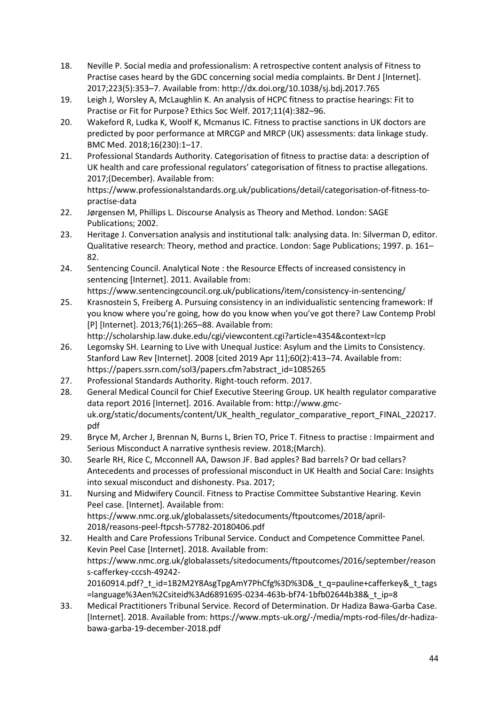- 18. Neville P. Social media and professionalism: A retrospective content analysis of Fitness to Practise cases heard by the GDC concerning social media complaints. Br Dent J [Internet]. 2017;223(5):353–7. Available from: http://dx.doi.org/10.1038/sj.bdj.2017.765
- 19. Leigh J, Worsley A, McLaughlin K. An analysis of HCPC fitness to practise hearings: Fit to Practise or Fit for Purpose? Ethics Soc Welf. 2017;11(4):382–96.
- 20. Wakeford R, Ludka K, Woolf K, Mcmanus IC. Fitness to practise sanctions in UK doctors are predicted by poor performance at MRCGP and MRCP (UK) assessments: data linkage study. BMC Med. 2018;16(230):1–17.
- 21. Professional Standards Authority. Categorisation of fitness to practise data: a description of UK health and care professional regulators' categorisation of fitness to practise allegations. 2017;(December). Available from:

https://www.professionalstandards.org.uk/publications/detail/categorisation-of-fitness-topractise-data

- 22. Jørgensen M, Phillips L. Discourse Analysis as Theory and Method. London: SAGE Publications; 2002.
- 23. Heritage J. Conversation analysis and institutional talk: analysing data. In: Silverman D, editor. Qualitative research: Theory, method and practice. London: Sage Publications; 1997. p. 161– 82.
- 24. Sentencing Council. Analytical Note : the Resource Effects of increased consistency in sentencing [Internet]. 2011. Available from: https://www.sentencingcouncil.org.uk/publications/item/consistency-in-sentencing/
- 25. Krasnostein S, Freiberg A. Pursuing consistency in an individualistic sentencing framework: If you know where you're going, how do you know when you've got there? Law Contemp Probl [P] [Internet]. 2013;76(1):265–88. Available from: http://scholarship.law.duke.edu/cgi/viewcontent.cgi?article=4354&context=lcp
- 26. Legomsky SH. Learning to Live with Unequal Justice: Asylum and the Limits to Consistency.
- Stanford Law Rev [Internet]. 2008 [cited 2019 Apr 11];60(2):413–74. Available from: https://papers.ssrn.com/sol3/papers.cfm?abstract\_id=1085265
- 27. Professional Standards Authority. Right-touch reform. 2017.
- 28. General Medical Council for Chief Executive Steering Group. UK health regulator comparative data report 2016 [Internet]. 2016. Available from: http://www.gmcuk.org/static/documents/content/UK\_health\_regulator\_comparative\_report\_FINAL\_220217. pdf
- 29. Bryce M, Archer J, Brennan N, Burns L, Brien TO, Price T. Fitness to practise : Impairment and Serious Misconduct A narrative synthesis review. 2018;(March).
- 30. Searle RH, Rice C, Mcconnell AA, Dawson JF. Bad apples? Bad barrels? Or bad cellars? Antecedents and processes of professional misconduct in UK Health and Social Care: Insights into sexual misconduct and dishonesty. Psa. 2017;
- 31. Nursing and Midwifery Council. Fitness to Practise Committee Substantive Hearing. Kevin Peel case. [Internet]. Available from: https://www.nmc.org.uk/globalassets/sitedocuments/ftpoutcomes/2018/april-2018/reasons-peel-ftpcsh-57782-20180406.pdf
- 32. Health and Care Professions Tribunal Service. Conduct and Competence Committee Panel. Kevin Peel Case [Internet]. 2018. Available from: https://www.nmc.org.uk/globalassets/sitedocuments/ftpoutcomes/2016/september/reason s-cafferkey-cccsh-49242- 20160914.pdf? t id=1B2M2Y8AsgTpgAmY7PhCfg%3D%3D& t q=pauline+cafferkey& t tags =language%3Aen%2Csiteid%3Ad6891695-0234-463b-bf74-1bfb02644b38&\_t\_ip=8
- 33. Medical Practitioners Tribunal Service. Record of Determination. Dr Hadiza Bawa-Garba Case. [Internet]. 2018. Available from: https://www.mpts-uk.org/-/media/mpts-rod-files/dr-hadizabawa-garba-19-december-2018.pdf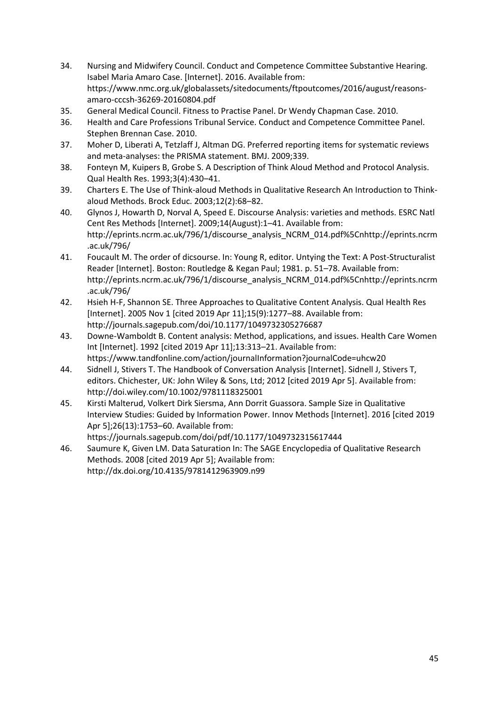- 34. Nursing and Midwifery Council. Conduct and Competence Committee Substantive Hearing. Isabel Maria Amaro Case. [Internet]. 2016. Available from: https://www.nmc.org.uk/globalassets/sitedocuments/ftpoutcomes/2016/august/reasonsamaro-cccsh-36269-20160804.pdf
- 35. General Medical Council. Fitness to Practise Panel. Dr Wendy Chapman Case. 2010.
- 36. Health and Care Professions Tribunal Service. Conduct and Competence Committee Panel. Stephen Brennan Case. 2010.
- 37. Moher D, Liberati A, Tetzlaff J, Altman DG. Preferred reporting items for systematic reviews and meta-analyses: the PRISMA statement. BMJ. 2009;339.
- 38. Fonteyn M, Kuipers B, Grobe S. A Description of Think Aloud Method and Protocol Analysis. Qual Health Res. 1993;3(4):430–41.
- 39. Charters E. The Use of Think-aloud Methods in Qualitative Research An Introduction to Thinkaloud Methods. Brock Educ. 2003;12(2):68–82.
- 40. Glynos J, Howarth D, Norval A, Speed E. Discourse Analysis: varieties and methods. ESRC Natl Cent Res Methods [Internet]. 2009;14(August):1–41. Available from: http://eprints.ncrm.ac.uk/796/1/discourse\_analysis\_NCRM\_014.pdf%5Cnhttp://eprints.ncrm .ac.uk/796/
- 41. Foucault M. The order of dicsourse. In: Young R, editor. Untying the Text: A Post-Structuralist Reader [Internet]. Boston: Routledge & Kegan Paul; 1981. p. 51–78. Available from: http://eprints.ncrm.ac.uk/796/1/discourse\_analysis\_NCRM\_014.pdf%5Cnhttp://eprints.ncrm .ac.uk/796/
- 42. Hsieh H-F, Shannon SE. Three Approaches to Qualitative Content Analysis. Qual Health Res [Internet]. 2005 Nov 1 [cited 2019 Apr 11];15(9):1277–88. Available from: http://journals.sagepub.com/doi/10.1177/1049732305276687
- 43. Downe-Wamboldt B. Content analysis: Method, applications, and issues. Health Care Women Int [Internet]. 1992 [cited 2019 Apr 11];13:313–21. Available from: https://www.tandfonline.com/action/journalInformation?journalCode=uhcw20
- 44. Sidnell J, Stivers T. The Handbook of Conversation Analysis [Internet]. Sidnell J, Stivers T, editors. Chichester, UK: John Wiley & Sons, Ltd; 2012 [cited 2019 Apr 5]. Available from: http://doi.wiley.com/10.1002/9781118325001
- 45. Kirsti Malterud, Volkert Dirk Siersma, Ann Dorrit Guassora. Sample Size in Qualitative Interview Studies: Guided by Information Power. Innov Methods [Internet]. 2016 [cited 2019 Apr 5];26(13):1753–60. Available from: https://journals.sagepub.com/doi/pdf/10.1177/1049732315617444
- 46. Saumure K, Given LM. Data Saturation In: The SAGE Encyclopedia of Qualitative Research Methods. 2008 [cited 2019 Apr 5]; Available from: http://dx.doi.org/10.4135/9781412963909.n99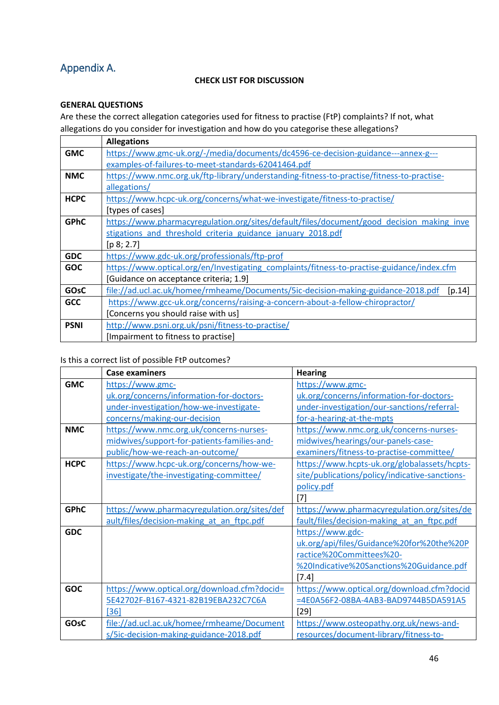# <span id="page-45-0"></span>Appendix A.

### **CHECK LIST FOR DISCUSSION**

# **GENERAL QUESTIONS**

Are these the correct allegation categories used for fitness to practise (FtP) complaints? If not, what allegations do you consider for investigation and how do you categorise these allegations?

|             | <b>Allegations</b>                                                                          |
|-------------|---------------------------------------------------------------------------------------------|
| <b>GMC</b>  | https://www.gmc-uk.org/-/media/documents/dc4596-ce-decision-guidance---annex-g---           |
|             | examples-of-failures-to-meet-standards-62041464.pdf                                         |
| <b>NMC</b>  | https://www.nmc.org.uk/ftp-library/understanding-fitness-to-practise/fitness-to-practise-   |
|             | allegations/                                                                                |
| <b>HCPC</b> | https://www.hcpc-uk.org/concerns/what-we-investigate/fitness-to-practise/                   |
|             | [types of cases]                                                                            |
| <b>GPhC</b> | https://www.pharmacyregulation.org/sites/default/files/document/good decision making inve   |
|             | stigations and threshold criteria guidance january 2018.pdf                                 |
|             | [p 8; 2.7]                                                                                  |
| <b>GDC</b>  | https://www.gdc-uk.org/professionals/ftp-prof                                               |
| <b>GOC</b>  | https://www.optical.org/en/Investigating_complaints/fitness-to-practise-guidance/index.cfm  |
|             | [Guidance on acceptance criteria; 1.9]                                                      |
| <b>GOsC</b> | file://ad.ucl.ac.uk/homee/rmheame/Documents/5ic-decision-making-guidance-2018.pdf<br>[p.14] |
| <b>GCC</b>  | https://www.gcc-uk.org/concerns/raising-a-concern-about-a-fellow-chiropractor/              |
|             | [Concerns you should raise with us]                                                         |
| <b>PSNI</b> | http://www.psni.org.uk/psni/fitness-to-practise/                                            |
|             | [Impairment to fitness to practise]                                                         |

# Is this a correct list of possible FtP outcomes?

|             | <b>Case examiners</b>                        | <b>Hearing</b>                                 |
|-------------|----------------------------------------------|------------------------------------------------|
| <b>GMC</b>  | https://www.gmc-                             | https://www.gmc-                               |
|             | uk.org/concerns/information-for-doctors-     | uk.org/concerns/information-for-doctors-       |
|             | under-investigation/how-we-investigate-      | under-investigation/our-sanctions/referral-    |
|             | concerns/making-our-decision                 | for-a-hearing-at-the-mpts                      |
| <b>NMC</b>  | https://www.nmc.org.uk/concerns-nurses-      | https://www.nmc.org.uk/concerns-nurses-        |
|             | midwives/support-for-patients-families-and-  | midwives/hearings/our-panels-case-             |
|             | public/how-we-reach-an-outcome/              | examiners/fitness-to-practise-committee/       |
| <b>HCPC</b> | https://www.hcpc-uk.org/concerns/how-we-     | https://www.hcpts-uk.org/globalassets/hcpts-   |
|             | investigate/the-investigating-committee/     | site/publications/policy/indicative-sanctions- |
|             |                                              | policy.pdf                                     |
|             |                                              | $[7]$                                          |
| <b>GPhC</b> | https://www.pharmacyregulation.org/sites/def | https://www.pharmacyregulation.org/sites/de    |
|             | ault/files/decision-making at an ftpc.pdf    | fault/files/decision-making at an ftpc.pdf     |
| <b>GDC</b>  |                                              | https://www.gdc-                               |
|             |                                              | uk.org/api/files/Guidance%20for%20the%20P      |
|             |                                              | ractice%20Committees%20-                       |
|             |                                              | %20Indicative%20Sanctions%20Guidance.pdf       |
|             |                                              | [7.4]                                          |
| <b>GOC</b>  | https://www.optical.org/download.cfm?docid=  | https://www.optical.org/download.cfm?docid     |
|             | 5E42702F-B167-4321-82B19EBA232C7C6A          | =4E0A56F2-08BA-4AB3-BAD9744B5DA591A5           |
|             | $[36]$                                       | $[29]$                                         |
| GOsC        | file://ad.ucl.ac.uk/homee/rmheame/Document   | https://www.osteopathy.org.uk/news-and-        |
|             | s/5ic-decision-making-guidance-2018.pdf      | resources/document-library/fitness-to-         |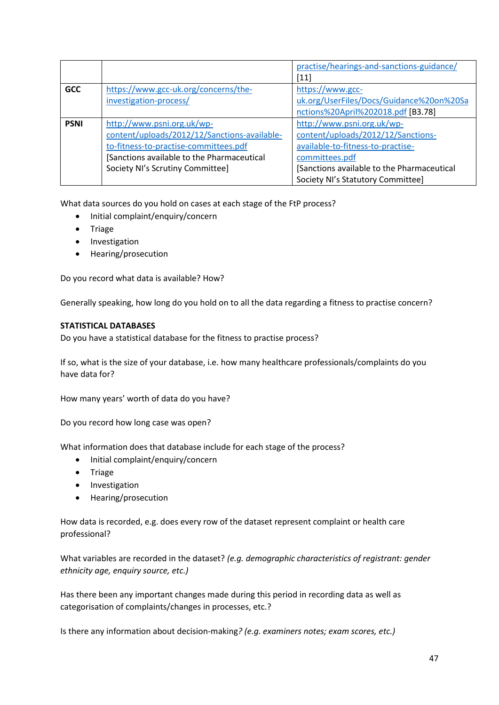|             |                                              | practise/hearings-and-sanctions-guidance/  |
|-------------|----------------------------------------------|--------------------------------------------|
|             |                                              | $[11]$                                     |
| <b>GCC</b>  | https://www.gcc-uk.org/concerns/the-         | https://www.gcc-                           |
|             | investigation-process/                       | uk.org/UserFiles/Docs/Guidance%20on%20Sa   |
|             |                                              | nctions%20April%202018.pdf [B3.78]         |
| <b>PSNI</b> | http://www.psni.org.uk/wp-                   | http://www.psni.org.uk/wp-                 |
|             | content/uploads/2012/12/Sanctions-available- | content/uploads/2012/12/Sanctions-         |
|             | to-fitness-to-practise-committees.pdf        | available-to-fitness-to-practise-          |
|             | [Sanctions available to the Pharmaceutical   | committees.pdf                             |
|             | Society NI's Scrutiny Committee]             | [Sanctions available to the Pharmaceutical |
|             |                                              | Society NI's Statutory Committee]          |

What data sources do you hold on cases at each stage of the FtP process?

- Initial complaint/enquiry/concern
- Triage
- Investigation
- Hearing/prosecution

Do you record what data is available? How?

Generally speaking, how long do you hold on to all the data regarding a fitness to practise concern?

#### **STATISTICAL DATABASES**

Do you have a statistical database for the fitness to practise process?

If so, what is the size of your database, i.e. how many healthcare professionals/complaints do you have data for?

How many years' worth of data do you have?

Do you record how long case was open?

What information does that database include for each stage of the process?

- Initial complaint/enquiry/concern
- Triage
- Investigation
- Hearing/prosecution

How data is recorded, e.g. does every row of the dataset represent complaint or health care professional?

What variables are recorded in the dataset? *(e.g. demographic characteristics of registrant: gender ethnicity age, enquiry source, etc.)*

Has there been any important changes made during this period in recording data as well as categorisation of complaints/changes in processes, etc.?

Is there any information about decision-making*? (e.g. examiners notes; exam scores, etc.)*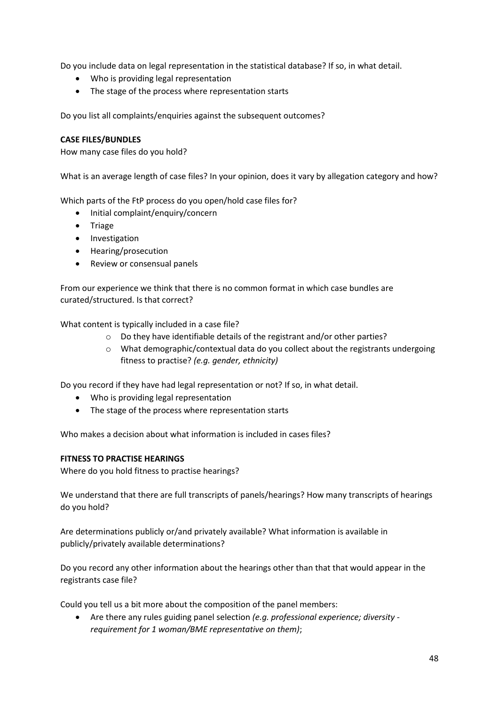Do you include data on legal representation in the statistical database? If so, in what detail.

- Who is providing legal representation
- The stage of the process where representation starts

Do you list all complaints/enquiries against the subsequent outcomes?

### **CASE FILES/BUNDLES**

How many case files do you hold?

What is an average length of case files? In your opinion, does it vary by allegation category and how?

Which parts of the FtP process do you open/hold case files for?

- Initial complaint/enquiry/concern
- Triage
- Investigation
- Hearing/prosecution
- Review or consensual panels

From our experience we think that there is no common format in which case bundles are curated/structured. Is that correct?

What content is typically included in a case file?

- o Do they have identifiable details of the registrant and/or other parties?
- $\circ$  What demographic/contextual data do you collect about the registrants undergoing fitness to practise? *(e.g. gender, ethnicity)*

Do you record if they have had legal representation or not? If so, in what detail.

- Who is providing legal representation
- The stage of the process where representation starts

Who makes a decision about what information is included in cases files?

#### **FITNESS TO PRACTISE HEARINGS**

Where do you hold fitness to practise hearings?

We understand that there are full transcripts of panels/hearings? How many transcripts of hearings do you hold?

Are determinations publicly or/and privately available? What information is available in publicly/privately available determinations?

Do you record any other information about the hearings other than that that would appear in the registrants case file?

Could you tell us a bit more about the composition of the panel members:

• Are there any rules guiding panel selection *(e.g. professional experience; diversity requirement for 1 woman/BME representative on them)*;